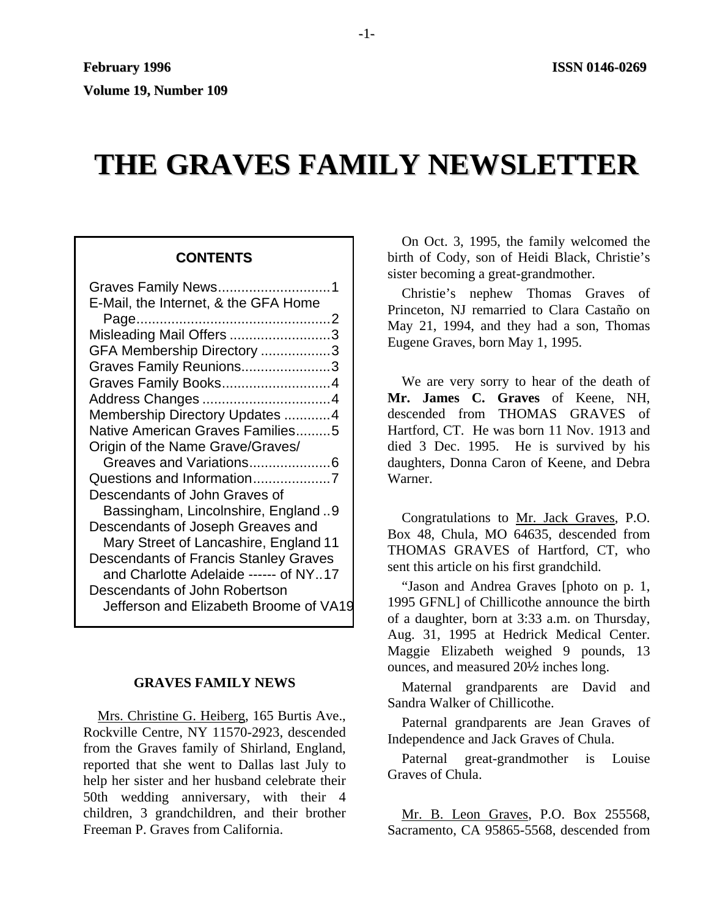# **THE GRAVES FAMILY NEWSLETTER**

# **CONTENTS**

| Graves Family News1                          |  |
|----------------------------------------------|--|
| E-Mail, the Internet, & the GFA Home         |  |
|                                              |  |
| Misleading Mail Offers 3                     |  |
| GFA Membership Directory 3                   |  |
| Graves Family Reunions3                      |  |
| Graves Family Books4                         |  |
|                                              |  |
| Membership Directory Updates 4               |  |
| Native American Graves Families5             |  |
| Origin of the Name Grave/Graves/             |  |
| Greaves and Variations6                      |  |
|                                              |  |
| Descendants of John Graves of                |  |
| Bassingham, Lincolnshire, England9           |  |
| Descendants of Joseph Greaves and            |  |
| Mary Street of Lancashire, England 11        |  |
| <b>Descendants of Francis Stanley Graves</b> |  |
| and Charlotte Adelaide ------ of NY17        |  |
| Descendants of John Robertson                |  |
| Jefferson and Elizabeth Broome of VA19       |  |

## **GRAVES FAMILY NEWS**

Mrs. Christine G. Heiberg, 165 Burtis Ave., Rockville Centre, NY 11570-2923, descended from the Graves family of Shirland, England, reported that she went to Dallas last July to help her sister and her husband celebrate their 50th wedding anniversary, with their 4 children, 3 grandchildren, and their brother Freeman P. Graves from California.

On Oct. 3, 1995, the family welcomed the birth of Cody, son of Heidi Black, Christie's sister becoming a great-grandmother.

Christie's nephew Thomas Graves of Princeton, NJ remarried to Clara Castaño on May 21, 1994, and they had a son, Thomas Eugene Graves, born May 1, 1995.

We are very sorry to hear of the death of **Mr. James C. Graves** of Keene, NH, descended from THOMAS GRAVES of Hartford, CT. He was born 11 Nov. 1913 and died 3 Dec. 1995. He is survived by his daughters, Donna Caron of Keene, and Debra Warner.

Congratulations to Mr. Jack Graves, P.O. Box 48, Chula, MO 64635, descended from THOMAS GRAVES of Hartford, CT, who sent this article on his first grandchild.

"Jason and Andrea Graves [photo on p. 1, 1995 GFNL] of Chillicothe announce the birth of a daughter, born at 3:33 a.m. on Thursday, Aug. 31, 1995 at Hedrick Medical Center. Maggie Elizabeth weighed 9 pounds, 13 ounces, and measured 20½ inches long.

Maternal grandparents are David and Sandra Walker of Chillicothe.

Paternal grandparents are Jean Graves of Independence and Jack Graves of Chula.

Paternal great-grandmother is Louise Graves of Chula.

Mr. B. Leon Graves, P.O. Box 255568, Sacramento, CA 95865-5568, descended from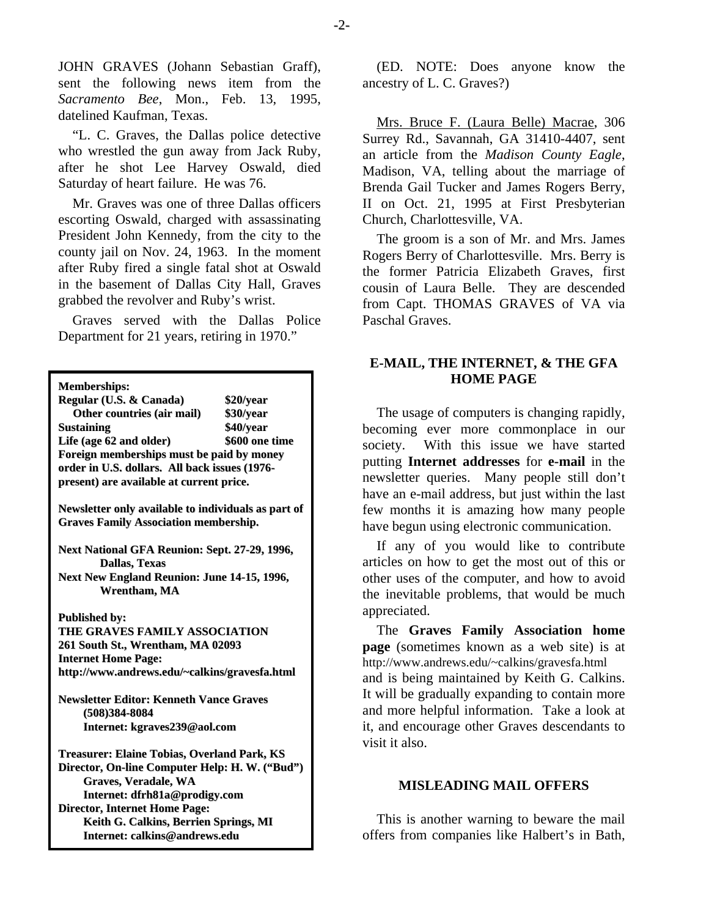JOHN GRAVES (Johann Sebastian Graff), sent the following news item from the *Sacramento Bee*, Mon., Feb. 13, 1995, datelined Kaufman, Texas.

"L. C. Graves, the Dallas police detective who wrestled the gun away from Jack Ruby, after he shot Lee Harvey Oswald, died Saturday of heart failure. He was 76.

Mr. Graves was one of three Dallas officers escorting Oswald, charged with assassinating President John Kennedy, from the city to the county jail on Nov. 24, 1963. In the moment after Ruby fired a single fatal shot at Oswald in the basement of Dallas City Hall, Graves grabbed the revolver and Ruby's wrist.

Graves served with the Dallas Police Department for 21 years, retiring in 1970."

**Memberships:**

| Regular (U.S. & Canada)                                                                             | \$20/year      |  |
|-----------------------------------------------------------------------------------------------------|----------------|--|
| Other countries (air mail)                                                                          | \$30/year      |  |
| <b>Sustaining</b>                                                                                   | \$40/year      |  |
| Life (age 62 and older)                                                                             | \$600 one time |  |
| Foreign memberships must be paid by money                                                           |                |  |
| order in U.S. dollars. All back issues (1976-                                                       |                |  |
| present) are available at current price.                                                            |                |  |
|                                                                                                     |                |  |
| Newsletter only available to individuals as part of<br><b>Graves Family Association membership.</b> |                |  |
|                                                                                                     |                |  |
| Next National GFA Reunion: Sept. 27-29, 1996,<br><b>Dallas, Texas</b>                               |                |  |
| Next New England Reunion: June 14-15, 1996,                                                         |                |  |
| Wrentham, MA                                                                                        |                |  |
|                                                                                                     |                |  |
| <b>Published by:</b>                                                                                |                |  |
| THE GRAVES FAMILY ASSOCIATION                                                                       |                |  |
| 261 South St., Wrentham, MA 02093                                                                   |                |  |
| <b>Internet Home Page:</b>                                                                          |                |  |
| http://www.andrews.edu/~calkins/gravesfa.html                                                       |                |  |
|                                                                                                     |                |  |
| <b>Newsletter Editor: Kenneth Vance Graves</b>                                                      |                |  |
| $(508)384 - 8084$                                                                                   |                |  |
| Internet: kgraves239@aol.com                                                                        |                |  |
| Treasurer: Elaine Tobias, Overland Park, KS                                                         |                |  |
| Director, On-line Computer Help: H. W. ("Bud")                                                      |                |  |
| Graves, Veradale, WA                                                                                |                |  |
| Internet: dfrh81a@prodigy.com                                                                       |                |  |
| <b>Director, Internet Home Page:</b>                                                                |                |  |
| Keith G. Calkins, Berrien Springs, MI                                                               |                |  |
| Internet: calkins@andrews.edu                                                                       |                |  |

(ED. NOTE: Does anyone know the ancestry of L. C. Graves?)

Mrs. Bruce F. (Laura Belle) Macrae, 306 Surrey Rd., Savannah, GA 31410-4407, sent an article from the *Madison County Eagle*, Madison, VA, telling about the marriage of Brenda Gail Tucker and James Rogers Berry, II on Oct. 21, 1995 at First Presbyterian Church, Charlottesville, VA.

The groom is a son of Mr. and Mrs. James Rogers Berry of Charlottesville. Mrs. Berry is the former Patricia Elizabeth Graves, first cousin of Laura Belle. They are descended from Capt. THOMAS GRAVES of VA via Paschal Graves.

# **E-MAIL, THE INTERNET, & THE GFA HOME PAGE**

The usage of computers is changing rapidly, becoming ever more commonplace in our society. With this issue we have started putting **Internet addresses** for **e-mail** in the newsletter queries. Many people still don't have an e-mail address, but just within the last few months it is amazing how many people have begun using electronic communication.

If any of you would like to contribute articles on how to get the most out of this or other uses of the computer, and how to avoid the inevitable problems, that would be much appreciated.

The **Graves Family Association home page** (sometimes known as a web site) is at http://www.andrews.edu/~calkins/gravesfa.html and is being maintained by Keith G. Calkins. It will be gradually expanding to contain more and more helpful information. Take a look at it, and encourage other Graves descendants to visit it also.

## **MISLEADING MAIL OFFERS**

This is another warning to beware the mail offers from companies like Halbert's in Bath,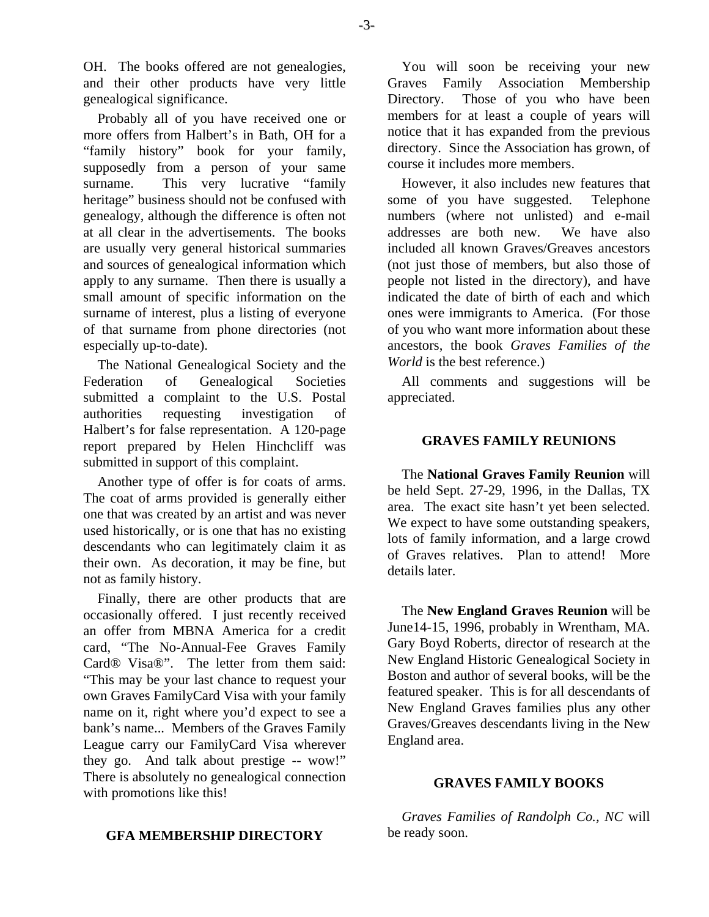OH. The books offered are not genealogies, and their other products have very little genealogical significance.

Probably all of you have received one or more offers from Halbert's in Bath, OH for a "family history" book for your family, supposedly from a person of your same surname. This very lucrative "family heritage" business should not be confused with genealogy, although the difference is often not at all clear in the advertisements. The books are usually very general historical summaries and sources of genealogical information which apply to any surname. Then there is usually a small amount of specific information on the surname of interest, plus a listing of everyone of that surname from phone directories (not especially up-to-date).

The National Genealogical Society and the Federation of Genealogical Societies submitted a complaint to the U.S. Postal authorities requesting investigation of Halbert's for false representation. A 120-page report prepared by Helen Hinchcliff was submitted in support of this complaint.

Another type of offer is for coats of arms. The coat of arms provided is generally either one that was created by an artist and was never used historically, or is one that has no existing descendants who can legitimately claim it as their own. As decoration, it may be fine, but not as family history.

Finally, there are other products that are occasionally offered. I just recently received an offer from MBNA America for a credit card, "The No-Annual-Fee Graves Family Card® Visa®". The letter from them said: "This may be your last chance to request your own Graves FamilyCard Visa with your family name on it, right where you'd expect to see a bank's name... Members of the Graves Family League carry our FamilyCard Visa wherever they go. And talk about prestige -- wow!" There is absolutely no genealogical connection with promotions like this!

You will soon be receiving your new Graves Family Association Membership Directory. Those of you who have been members for at least a couple of years will notice that it has expanded from the previous directory. Since the Association has grown, of course it includes more members.

However, it also includes new features that some of you have suggested. Telephone numbers (where not unlisted) and e-mail addresses are both new. We have also included all known Graves/Greaves ancestors (not just those of members, but also those of people not listed in the directory), and have indicated the date of birth of each and which ones were immigrants to America. (For those of you who want more information about these ancestors, the book *Graves Families of the World* is the best reference.)

All comments and suggestions will be appreciated.

# **GRAVES FAMILY REUNIONS**

The **National Graves Family Reunion** will be held Sept. 27-29, 1996, in the Dallas, TX area. The exact site hasn't yet been selected. We expect to have some outstanding speakers, lots of family information, and a large crowd of Graves relatives. Plan to attend! More details later.

The **New England Graves Reunion** will be June14-15, 1996, probably in Wrentham, MA. Gary Boyd Roberts, director of research at the New England Historic Genealogical Society in Boston and author of several books, will be the featured speaker. This is for all descendants of New England Graves families plus any other Graves/Greaves descendants living in the New England area.

## **GRAVES FAMILY BOOKS**

*Graves Families of Randolph Co., NC* will be ready soon.

# **GFA MEMBERSHIP DIRECTORY**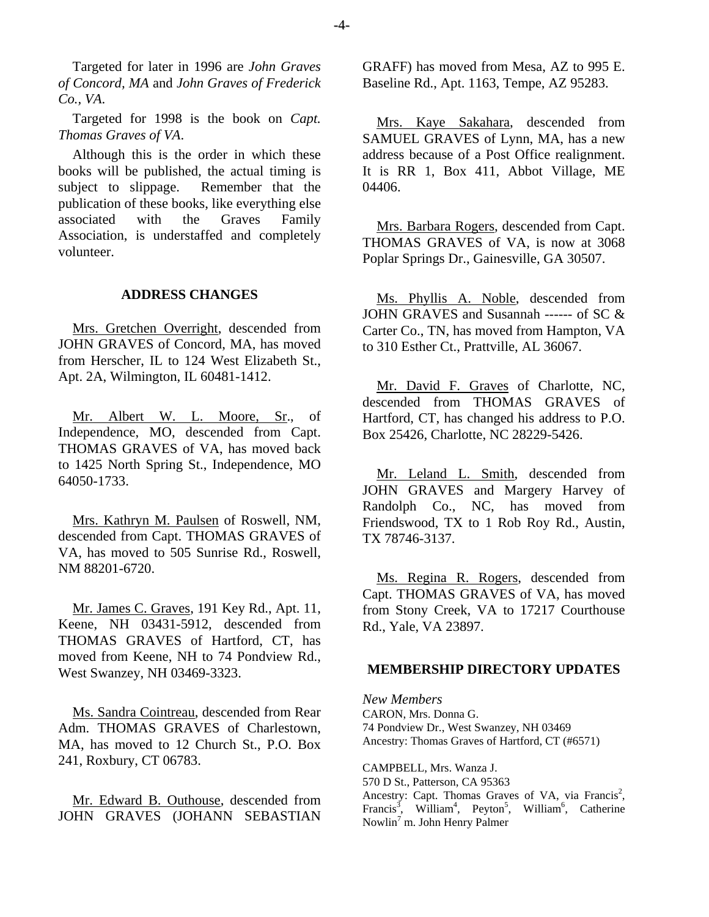Targeted for later in 1996 are *John Graves of Concord, MA* and *John Graves of Frederick Co., VA*.

Targeted for 1998 is the book on *Capt. Thomas Graves of VA*.

Although this is the order in which these books will be published, the actual timing is subject to slippage. Remember that the publication of these books, like everything else associated with the Graves Family Association, is understaffed and completely volunteer.

#### **ADDRESS CHANGES**

Mrs. Gretchen Overright, descended from JOHN GRAVES of Concord, MA, has moved from Herscher, IL to 124 West Elizabeth St., Apt. 2A, Wilmington, IL 60481-1412.

Mr. Albert W. L. Moore, Sr., of Independence, MO, descended from Capt. THOMAS GRAVES of VA, has moved back to 1425 North Spring St., Independence, MO 64050-1733.

Mrs. Kathryn M. Paulsen of Roswell, NM, descended from Capt. THOMAS GRAVES of VA, has moved to 505 Sunrise Rd., Roswell, NM 88201-6720.

Mr. James C. Graves, 191 Key Rd., Apt. 11, Keene, NH 03431-5912, descended from THOMAS GRAVES of Hartford, CT, has moved from Keene, NH to 74 Pondview Rd., West Swanzey, NH 03469-3323.

Ms. Sandra Cointreau, descended from Rear Adm. THOMAS GRAVES of Charlestown. MA, has moved to 12 Church St., P.O. Box 241, Roxbury, CT 06783.

Mr. Edward B. Outhouse, descended from JOHN GRAVES (JOHANN SEBASTIAN

GRAFF) has moved from Mesa, AZ to 995 E. Baseline Rd., Apt. 1163, Tempe, AZ 95283.

Mrs. Kaye Sakahara, descended from SAMUEL GRAVES of Lynn, MA, has a new address because of a Post Office realignment. It is RR 1, Box 411, Abbot Village, ME 04406.

Mrs. Barbara Rogers, descended from Capt. THOMAS GRAVES of VA, is now at 3068 Poplar Springs Dr., Gainesville, GA 30507.

Ms. Phyllis A. Noble, descended from JOHN GRAVES and Susannah ------ of SC & Carter Co., TN, has moved from Hampton, VA to 310 Esther Ct., Prattville, AL 36067.

Mr. David F. Graves of Charlotte, NC, descended from THOMAS GRAVES of Hartford, CT, has changed his address to P.O. Box 25426, Charlotte, NC 28229-5426.

Mr. Leland L. Smith, descended from JOHN GRAVES and Margery Harvey of Randolph Co., NC, has moved from Friendswood, TX to 1 Rob Roy Rd., Austin, TX 78746-3137.

Ms. Regina R. Rogers, descended from Capt. THOMAS GRAVES of VA, has moved from Stony Creek, VA to 17217 Courthouse Rd., Yale, VA 23897.

#### **MEMBERSHIP DIRECTORY UPDATES**

*New Members*  CARON, Mrs. Donna G. 74 Pondview Dr., West Swanzey, NH 03469 Ancestry: Thomas Graves of Hartford, CT (#6571)

CAMPBELL, Mrs. Wanza J. 570 D St., Patterson, CA 95363 Ancestry: Capt. Thomas Graves of VA, via Francis<sup>2</sup>, Francis<sup>3</sup>, William<sup>4</sup>, Peyton<sup>5</sup>, William<sup>6</sup>, Catherine Nowlin<sup>7</sup> m. John Henry Palmer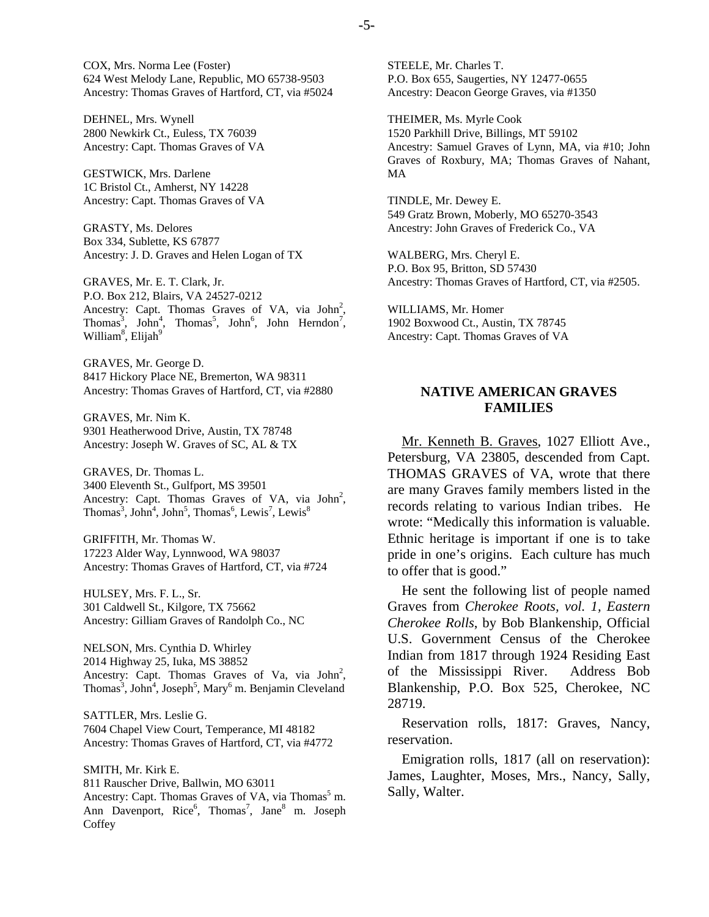COX, Mrs. Norma Lee (Foster) 624 West Melody Lane, Republic, MO 65738-9503 Ancestry: Thomas Graves of Hartford, CT, via #5024

DEHNEL, Mrs. Wynell 2800 Newkirk Ct., Euless, TX 76039 Ancestry: Capt. Thomas Graves of VA

GESTWICK, Mrs. Darlene 1C Bristol Ct., Amherst, NY 14228 Ancestry: Capt. Thomas Graves of VA

GRASTY, Ms. Delores Box 334, Sublette, KS 67877 Ancestry: J. D. Graves and Helen Logan of TX

GRAVES, Mr. E. T. Clark, Jr. P.O. Box 212, Blairs, VA 24527-0212 Ancestry: Capt. Thomas Graves of VA, via  $John<sup>2</sup>$ , Thomas<sup>3</sup>, John<sup>4</sup>, Thomas<sup>5</sup>, John<sup>6</sup>, John Herndon<sup>7</sup>, William<sup>8</sup>, Elijah<sup>9</sup>

GRAVES, Mr. George D. 8417 Hickory Place NE, Bremerton, WA 98311 Ancestry: Thomas Graves of Hartford, CT, via #2880

GRAVES, Mr. Nim K. 9301 Heatherwood Drive, Austin, TX 78748 Ancestry: Joseph W. Graves of SC, AL & TX

GRAVES, Dr. Thomas L. 3400 Eleventh St., Gulfport, MS 39501 Ancestry: Capt. Thomas Graves of VA, via  $John<sup>2</sup>$ , Thomas<sup>3</sup>, John<sup>4</sup>, John<sup>5</sup>, Thomas<sup>6</sup>, Lewis<sup>7</sup>, Lewis<sup>8</sup>

GRIFFITH, Mr. Thomas W. 17223 Alder Way, Lynnwood, WA 98037 Ancestry: Thomas Graves of Hartford, CT, via #724

HULSEY, Mrs. F. L., Sr. 301 Caldwell St., Kilgore, TX 75662 Ancestry: Gilliam Graves of Randolph Co., NC

NELSON, Mrs. Cynthia D. Whirley 2014 Highway 25, Iuka, MS 38852 Ancestry: Capt. Thomas Graves of Va, via  $John<sup>2</sup>$ , Thomas<sup>3</sup>, John<sup>4</sup>, Joseph<sup>5</sup>, Mary<sup>6</sup> m. Benjamin Cleveland

SATTLER, Mrs. Leslie G. 7604 Chapel View Court, Temperance, MI 48182 Ancestry: Thomas Graves of Hartford, CT, via #4772

SMITH, Mr. Kirk E. 811 Rauscher Drive, Ballwin, MO 63011 Ancestry: Capt. Thomas Graves of VA, via Thomas<sup>5</sup> m. Ann Davenport, Rice<sup>6</sup>, Thomas<sup>7</sup>, Jane<sup>8</sup> m. Joseph **Coffey** 

STEELE, Mr. Charles T. P.O. Box 655, Saugerties, NY 12477-0655 Ancestry: Deacon George Graves, via #1350

THEIMER, Ms. Myrle Cook 1520 Parkhill Drive, Billings, MT 59102 Ancestry: Samuel Graves of Lynn, MA, via #10; John Graves of Roxbury, MA; Thomas Graves of Nahant, MA

TINDLE, Mr. Dewey E. 549 Gratz Brown, Moberly, MO 65270-3543 Ancestry: John Graves of Frederick Co., VA

WALBERG, Mrs. Cheryl E. P.O. Box 95, Britton, SD 57430 Ancestry: Thomas Graves of Hartford, CT, via #2505.

WILLIAMS, Mr. Homer 1902 Boxwood Ct., Austin, TX 78745 Ancestry: Capt. Thomas Graves of VA

## **NATIVE AMERICAN GRAVES FAMILIES**

Mr. Kenneth B. Graves, 1027 Elliott Ave., Petersburg, VA 23805, descended from Capt. THOMAS GRAVES of VA, wrote that there are many Graves family members listed in the records relating to various Indian tribes. He wrote: "Medically this information is valuable. Ethnic heritage is important if one is to take pride in one's origins. Each culture has much to offer that is good."

He sent the following list of people named Graves from *Cherokee Roots, vol. 1, Eastern Cherokee Rolls*, by Bob Blankenship, Official U.S. Government Census of the Cherokee Indian from 1817 through 1924 Residing East of the Mississippi River. Address Bob Blankenship, P.O. Box 525, Cherokee, NC 28719.

Reservation rolls, 1817: Graves, Nancy, reservation.

Emigration rolls, 1817 (all on reservation): James, Laughter, Moses, Mrs., Nancy, Sally, Sally, Walter.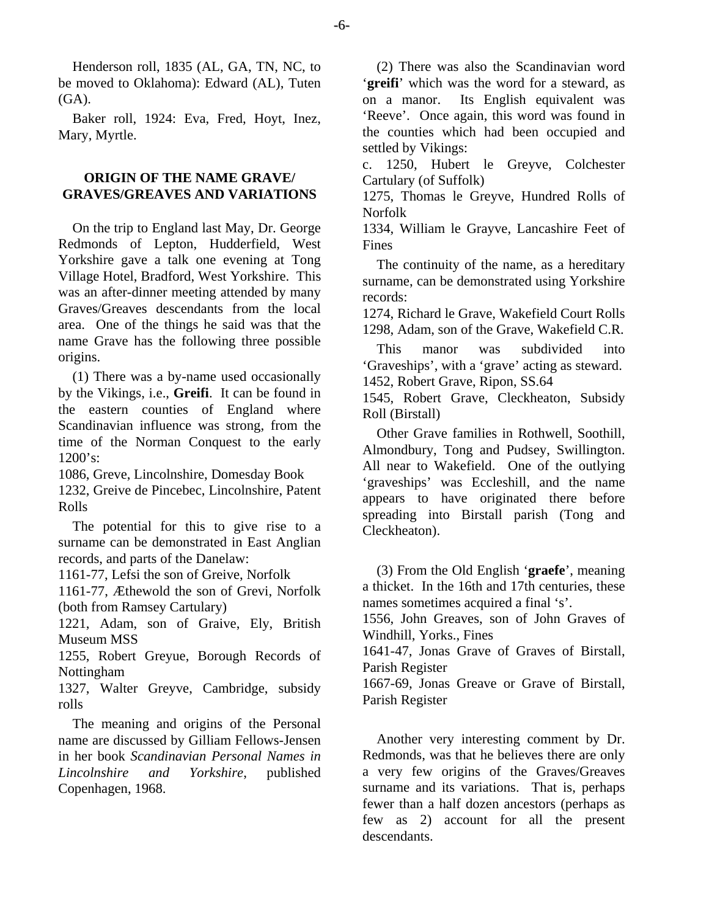Henderson roll, 1835 (AL, GA, TN, NC, to be moved to Oklahoma): Edward (AL), Tuten  $(GA)$ .

Baker roll, 1924: Eva, Fred, Hoyt, Inez, Mary, Myrtle.

# **ORIGIN OF THE NAME GRAVE/ GRAVES/GREAVES AND VARIATIONS**

On the trip to England last May, Dr. George Redmonds of Lepton, Hudderfield, West Yorkshire gave a talk one evening at Tong Village Hotel, Bradford, West Yorkshire. This was an after-dinner meeting attended by many Graves/Greaves descendants from the local area. One of the things he said was that the name Grave has the following three possible origins.

(1) There was a by-name used occasionally by the Vikings, i.e., **Greifi**. It can be found in the eastern counties of England where Scandinavian influence was strong, from the time of the Norman Conquest to the early 1200's:

1086, Greve, Lincolnshire, Domesday Book 1232, Greive de Pincebec, Lincolnshire, Patent Rolls

The potential for this to give rise to a surname can be demonstrated in East Anglian records, and parts of the Danelaw:

1161-77, Lefsi the son of Greive, Norfolk

1161-77, Æthewold the son of Grevi, Norfolk (both from Ramsey Cartulary)

1221, Adam, son of Graive, Ely, British Museum MSS

1255, Robert Greyue, Borough Records of Nottingham

1327, Walter Greyve, Cambridge, subsidy rolls

The meaning and origins of the Personal name are discussed by Gilliam Fellows-Jensen in her book *Scandinavian Personal Names in Lincolnshire and Yorkshire*, published Copenhagen, 1968.

(2) There was also the Scandinavian word '**greifi**' which was the word for a steward, as on a manor. Its English equivalent was 'Reeve'. Once again, this word was found in the counties which had been occupied and settled by Vikings:

c. 1250, Hubert le Greyve, Colchester Cartulary (of Suffolk)

1275, Thomas le Greyve, Hundred Rolls of Norfolk

1334, William le Grayve, Lancashire Feet of Fines

The continuity of the name, as a hereditary surname, can be demonstrated using Yorkshire records:

1274, Richard le Grave, Wakefield Court Rolls 1298, Adam, son of the Grave, Wakefield C.R.

This manor was subdivided into 'Graveships', with a 'grave' acting as steward. 1452, Robert Grave, Ripon, SS.64

1545, Robert Grave, Cleckheaton, Subsidy Roll (Birstall)

Other Grave families in Rothwell, Soothill, Almondbury, Tong and Pudsey, Swillington. All near to Wakefield. One of the outlying 'graveships' was Eccleshill, and the name appears to have originated there before spreading into Birstall parish (Tong and Cleckheaton).

(3) From the Old English '**graefe**', meaning a thicket. In the 16th and 17th centuries, these names sometimes acquired a final 's'.

1556, John Greaves, son of John Graves of Windhill, Yorks., Fines

1641-47, Jonas Grave of Graves of Birstall, Parish Register

1667-69, Jonas Greave or Grave of Birstall, Parish Register

Another very interesting comment by Dr. Redmonds, was that he believes there are only a very few origins of the Graves/Greaves surname and its variations. That is, perhaps fewer than a half dozen ancestors (perhaps as few as 2) account for all the present descendants.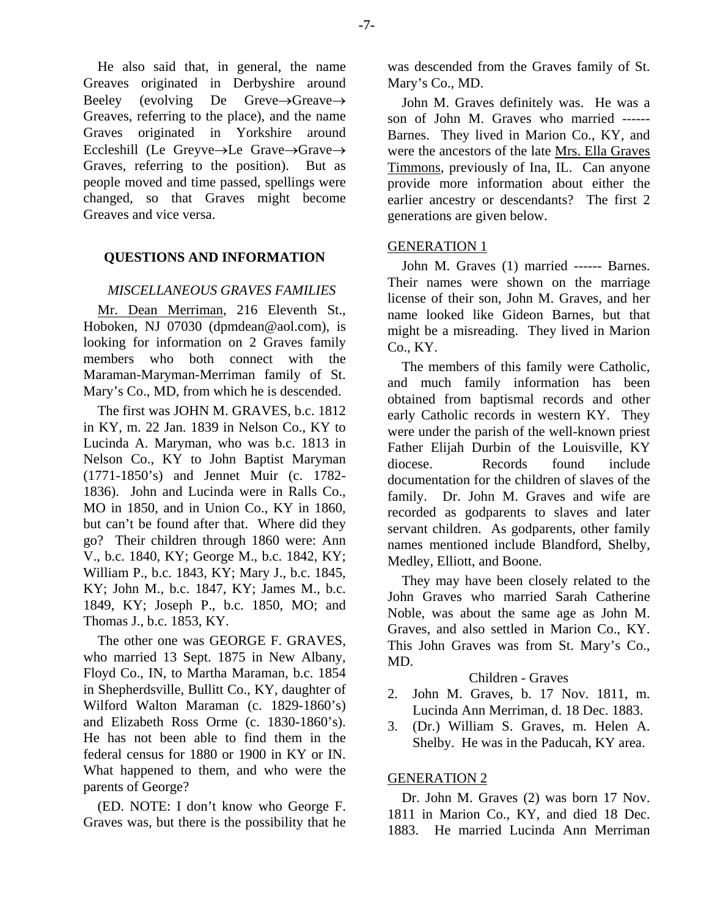He also said that, in general, the name Greaves originated in Derbyshire around Beeley (evolving De Greve→Greave→ Greaves, referring to the place), and the name Graves originated in Yorkshire around Eccleshill (Le Greyve→Le Grave→Grave→ Graves, referring to the position). But as people moved and time passed, spellings were changed, so that Graves might become Greaves and vice versa.

# **QUESTIONS AND INFORMATION**

## *MISCELLANEOUS GRAVES FAMILIES*

Mr. Dean Merriman, 216 Eleventh St., Hoboken, NJ 07030 (dpmdean@aol.com), is looking for information on 2 Graves family members who both connect with the Maraman-Maryman-Merriman family of St. Mary's Co., MD, from which he is descended.

The first was JOHN M. GRAVES, b.c. 1812 in KY, m. 22 Jan. 1839 in Nelson Co., KY to Lucinda A. Maryman, who was b.c. 1813 in Nelson Co., KY to John Baptist Maryman (1771-1850's) and Jennet Muir (c. 1782- 1836). John and Lucinda were in Ralls Co., MO in 1850, and in Union Co., KY in 1860, but can't be found after that. Where did they go? Their children through 1860 were: Ann V., b.c. 1840, KY; George M., b.c. 1842, KY; William P., b.c. 1843, KY; Mary J., b.c. 1845, KY; John M., b.c. 1847, KY; James M., b.c. 1849, KY; Joseph P., b.c. 1850, MO; and Thomas J., b.c. 1853, KY.

The other one was GEORGE F. GRAVES, who married 13 Sept. 1875 in New Albany, Floyd Co., IN, to Martha Maraman, b.c. 1854 in Shepherdsville, Bullitt Co., KY, daughter of Wilford Walton Maraman (c. 1829-1860's) and Elizabeth Ross Orme (c. 1830-1860's). He has not been able to find them in the federal census for 1880 or 1900 in KY or IN. What happened to them, and who were the parents of George?

(ED. NOTE: I don't know who George F. Graves was, but there is the possibility that he was descended from the Graves family of St. Mary's Co., MD.

John M. Graves definitely was. He was a son of John M. Graves who married ------ Barnes. They lived in Marion Co., KY, and were the ancestors of the late Mrs. Ella Graves Timmons, previously of Ina, IL. Can anyone provide more information about either the earlier ancestry or descendants? The first 2 generations are given below.

## GENERATION 1

John M. Graves (1) married ------ Barnes. Their names were shown on the marriage license of their son, John M. Graves, and her name looked like Gideon Barnes, but that might be a misreading. They lived in Marion Co., KY.

The members of this family were Catholic, and much family information has been obtained from baptismal records and other early Catholic records in western KY. They were under the parish of the well-known priest Father Elijah Durbin of the Louisville, KY diocese. Records found include documentation for the children of slaves of the family. Dr. John M. Graves and wife are recorded as godparents to slaves and later servant children. As godparents, other family names mentioned include Blandford, Shelby, Medley, Elliott, and Boone.

They may have been closely related to the John Graves who married Sarah Catherine Noble, was about the same age as John M. Graves, and also settled in Marion Co., KY. This John Graves was from St. Mary's Co., MD.

## Children - Graves

- 2. John M. Graves, b. 17 Nov. 1811, m. Lucinda Ann Merriman, d. 18 Dec. 1883.
- 3. (Dr.) William S. Graves, m. Helen A. Shelby. He was in the Paducah, KY area.

## GENERATION 2

Dr. John M. Graves (2) was born 17 Nov. 1811 in Marion Co., KY, and died 18 Dec. 1883. He married Lucinda Ann Merriman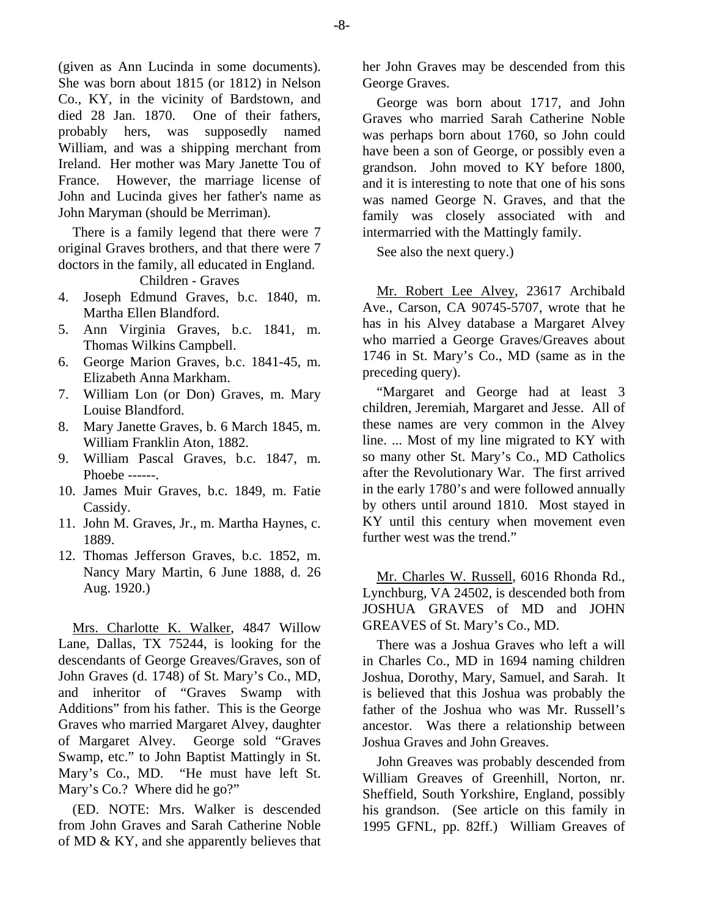(given as Ann Lucinda in some documents). She was born about 1815 (or 1812) in Nelson Co., KY, in the vicinity of Bardstown, and died 28 Jan. 1870. One of their fathers, probably hers, was supposedly named William, and was a shipping merchant from Ireland. Her mother was Mary Janette Tou of France. However, the marriage license of John and Lucinda gives her father's name as John Maryman (should be Merriman).

There is a family legend that there were 7 original Graves brothers, and that there were 7 doctors in the family, all educated in England.

Children - Graves

- 4. Joseph Edmund Graves, b.c. 1840, m. Martha Ellen Blandford.
- 5. Ann Virginia Graves, b.c. 1841, m. Thomas Wilkins Campbell.
- 6. George Marion Graves, b.c. 1841-45, m. Elizabeth Anna Markham.
- 7. William Lon (or Don) Graves, m. Mary Louise Blandford.
- 8. Mary Janette Graves, b. 6 March 1845, m. William Franklin Aton, 1882.
- 9. William Pascal Graves, b.c. 1847, m. Phoebe ------.
- 10. James Muir Graves, b.c. 1849, m. Fatie Cassidy.
- 11. John M. Graves, Jr., m. Martha Haynes, c. 1889.
- 12. Thomas Jefferson Graves, b.c. 1852, m. Nancy Mary Martin, 6 June 1888, d. 26 Aug. 1920.)

Mrs. Charlotte K. Walker, 4847 Willow Lane, Dallas, TX 75244, is looking for the descendants of George Greaves/Graves, son of John Graves (d. 1748) of St. Mary's Co., MD, and inheritor of "Graves Swamp with Additions" from his father. This is the George Graves who married Margaret Alvey, daughter of Margaret Alvey. George sold "Graves Swamp, etc." to John Baptist Mattingly in St. Mary's Co., MD. "He must have left St. Mary's Co.? Where did he go?"

(ED. NOTE: Mrs. Walker is descended from John Graves and Sarah Catherine Noble of MD & KY, and she apparently believes that her John Graves may be descended from this George Graves.

George was born about 1717, and John Graves who married Sarah Catherine Noble was perhaps born about 1760, so John could have been a son of George, or possibly even a grandson. John moved to KY before 1800, and it is interesting to note that one of his sons was named George N. Graves, and that the family was closely associated with and intermarried with the Mattingly family.

See also the next query.)

Mr. Robert Lee Alvey, 23617 Archibald Ave., Carson, CA 90745-5707, wrote that he has in his Alvey database a Margaret Alvey who married a George Graves/Greaves about 1746 in St. Mary's Co., MD (same as in the preceding query).

"Margaret and George had at least 3 children, Jeremiah, Margaret and Jesse. All of these names are very common in the Alvey line. ... Most of my line migrated to KY with so many other St. Mary's Co., MD Catholics after the Revolutionary War. The first arrived in the early 1780's and were followed annually by others until around 1810. Most stayed in KY until this century when movement even further west was the trend."

Mr. Charles W. Russell, 6016 Rhonda Rd., Lynchburg, VA 24502, is descended both from JOSHUA GRAVES of MD and JOHN GREAVES of St. Mary's Co., MD.

There was a Joshua Graves who left a will in Charles Co., MD in 1694 naming children Joshua, Dorothy, Mary, Samuel, and Sarah. It is believed that this Joshua was probably the father of the Joshua who was Mr. Russell's ancestor. Was there a relationship between Joshua Graves and John Greaves.

John Greaves was probably descended from William Greaves of Greenhill, Norton, nr. Sheffield, South Yorkshire, England, possibly his grandson. (See article on this family in 1995 GFNL, pp. 82ff.) William Greaves of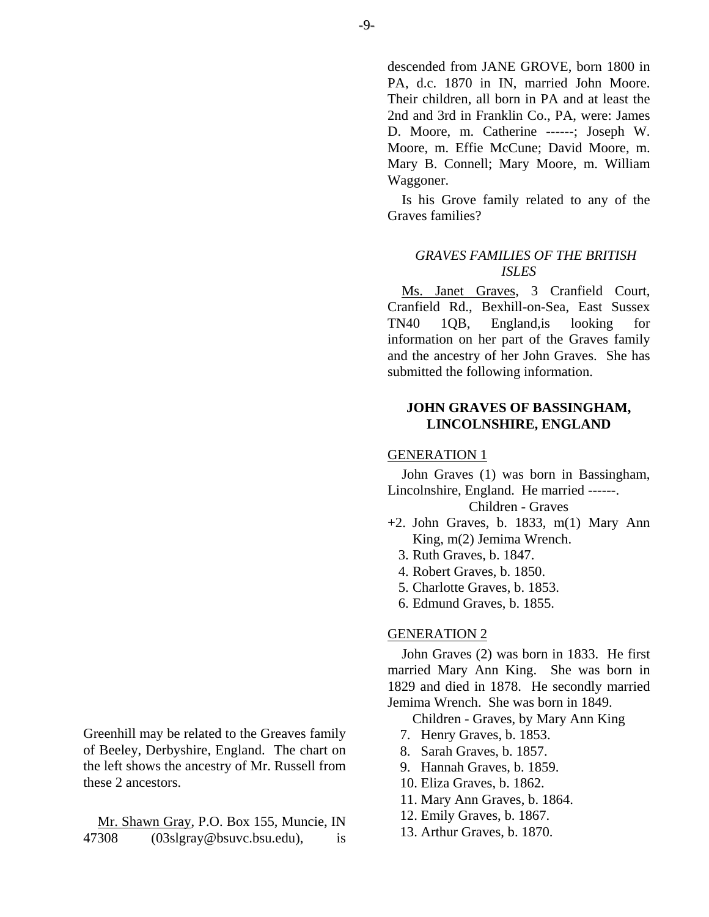descended from JANE GROVE, born 1800 in PA, d.c. 1870 in IN, married John Moore. Their children, all born in PA and at least the 2nd and 3rd in Franklin Co., PA, were: James D. Moore, m. Catherine ------; Joseph W. Moore, m. Effie McCune; David Moore, m. Mary B. Connell; Mary Moore, m. William Waggoner.

Is his Grove family related to any of the Graves families?

# *GRAVES FAMILIES OF THE BRITISH ISLES*

Ms. Janet Graves, 3 Cranfield Court, Cranfield Rd., Bexhill-on-Sea, East Sussex TN40 1QB, England,is looking for information on her part of the Graves family and the ancestry of her John Graves. She has submitted the following information.

# **JOHN GRAVES OF BASSINGHAM, LINCOLNSHIRE, ENGLAND**

## GENERATION 1

John Graves (1) was born in Bassingham, Lincolnshire, England. He married ------.

## Children - Graves

- $+2$ . John Graves, b. 1833, m(1) Mary Ann King, m(2) Jemima Wrench.
	- 3. Ruth Graves, b. 1847.
	- 4. Robert Graves, b. 1850.
	- 5. Charlotte Graves, b. 1853.
	- 6. Edmund Graves, b. 1855.

## GENERATION 2

John Graves (2) was born in 1833. He first married Mary Ann King. She was born in 1829 and died in 1878. He secondly married Jemima Wrench. She was born in 1849.

Children - Graves, by Mary Ann King

- 7. Henry Graves, b. 1853.
- 8. Sarah Graves, b. 1857.
- 9. Hannah Graves, b. 1859.
- 10. Eliza Graves, b. 1862.
- 11. Mary Ann Graves, b. 1864.
- 12. Emily Graves, b. 1867.
- 13. Arthur Graves, b. 1870.

Greenhill may be related to the Greaves family of Beeley, Derbyshire, England. The chart on the left shows the ancestry of Mr. Russell from these 2 ancestors.

Mr. Shawn Gray, P.O. Box 155, Muncie, IN 47308 (03slgray@bsuvc.bsu.edu), is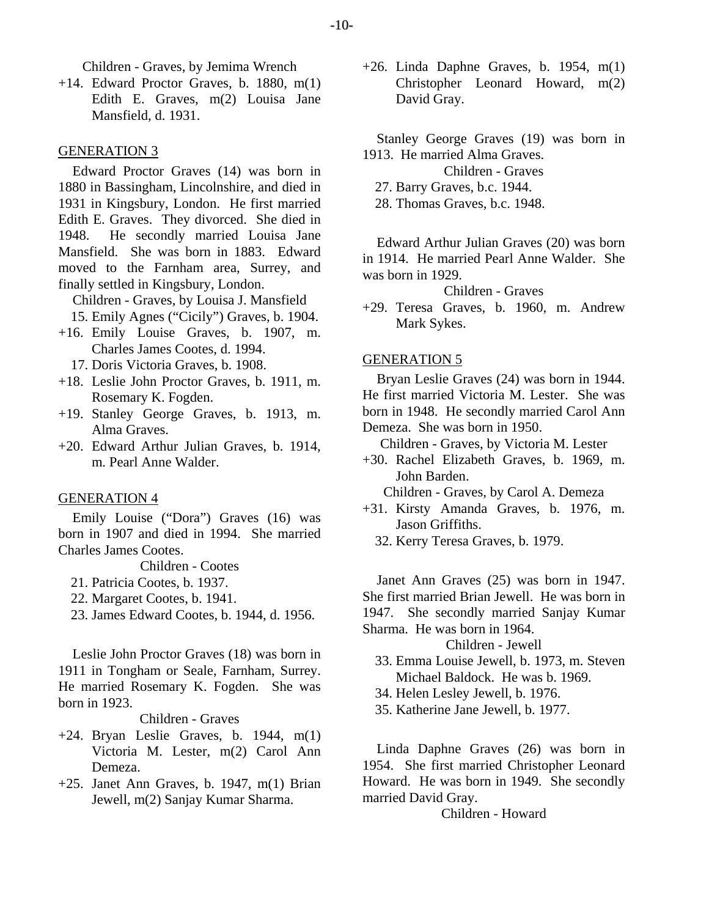Children - Graves, by Jemima Wrench

+14. Edward Proctor Graves, b. 1880, m(1) Edith E. Graves, m(2) Louisa Jane Mansfield, d. 1931.

#### GENERATION 3

Edward Proctor Graves (14) was born in 1880 in Bassingham, Lincolnshire, and died in 1931 in Kingsbury, London. He first married Edith E. Graves. They divorced. She died in 1948. He secondly married Louisa Jane Mansfield. She was born in 1883. Edward moved to the Farnham area, Surrey, and finally settled in Kingsbury, London.

Children - Graves, by Louisa J. Mansfield 15. Emily Agnes ("Cicily") Graves, b. 1904.

- +16. Emily Louise Graves, b. 1907, m. Charles James Cootes, d. 1994.
	- 17. Doris Victoria Graves, b. 1908.
- +18. Leslie John Proctor Graves, b. 1911, m. Rosemary K. Fogden.
- +19. Stanley George Graves, b. 1913, m. Alma Graves.
- +20. Edward Arthur Julian Graves, b. 1914, m. Pearl Anne Walder.

#### GENERATION 4

Emily Louise ("Dora") Graves (16) was born in 1907 and died in 1994. She married Charles James Cootes.

Children - Cootes

- 21. Patricia Cootes, b. 1937.
- 22. Margaret Cootes, b. 1941.
- 23. James Edward Cootes, b. 1944, d. 1956.

Leslie John Proctor Graves (18) was born in 1911 in Tongham or Seale, Farnham, Surrey. He married Rosemary K. Fogden. She was born in 1923.

## Children - Graves

- $+24$ . Bryan Leslie Graves, b. 1944, m(1) Victoria M. Lester, m(2) Carol Ann Demeza.
- $+25$ . Janet Ann Graves, b. 1947, m(1) Brian Jewell, m(2) Sanjay Kumar Sharma.

 $+26$ . Linda Daphne Graves, b. 1954, m(1) Christopher Leonard Howard, m(2) David Gray.

Stanley George Graves (19) was born in 1913. He married Alma Graves.

Children - Graves

27. Barry Graves, b.c. 1944.

28. Thomas Graves, b.c. 1948.

Edward Arthur Julian Graves (20) was born in 1914. He married Pearl Anne Walder. She was born in 1929.

Children - Graves

+29. Teresa Graves, b. 1960, m. Andrew Mark Sykes.

## GENERATION 5

Bryan Leslie Graves (24) was born in 1944. He first married Victoria M. Lester. She was born in 1948. He secondly married Carol Ann Demeza. She was born in 1950.

Children - Graves, by Victoria M. Lester

- +30. Rachel Elizabeth Graves, b. 1969, m. John Barden.
	- Children Graves, by Carol A. Demeza
- +31. Kirsty Amanda Graves, b. 1976, m. Jason Griffiths.
	- 32. Kerry Teresa Graves, b. 1979.

Janet Ann Graves (25) was born in 1947. She first married Brian Jewell. He was born in 1947. She secondly married Sanjay Kumar Sharma. He was born in 1964.

Children - Jewell

- 33. Emma Louise Jewell, b. 1973, m. Steven Michael Baldock. He was b. 1969.
- 34. Helen Lesley Jewell, b. 1976.
- 35. Katherine Jane Jewell, b. 1977.

Linda Daphne Graves (26) was born in 1954. She first married Christopher Leonard Howard. He was born in 1949. She secondly married David Gray.

Children - Howard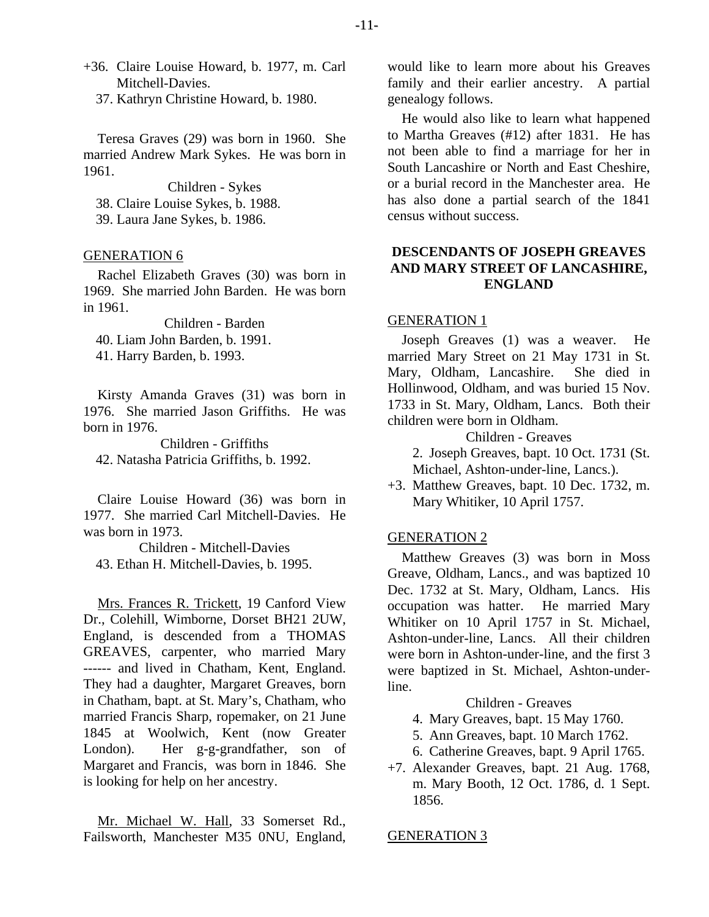- +36. Claire Louise Howard, b. 1977, m. Carl Mitchell-Davies.
	- 37. Kathryn Christine Howard, b. 1980.

Teresa Graves (29) was born in 1960. She married Andrew Mark Sykes. He was born in 1961.

Children - Sykes 38. Claire Louise Sykes, b. 1988.

39. Laura Jane Sykes, b. 1986.

## GENERATION 6

Rachel Elizabeth Graves (30) was born in 1969. She married John Barden. He was born in 1961.

Children - Barden 40. Liam John Barden, b. 1991. 41. Harry Barden, b. 1993.

Kirsty Amanda Graves (31) was born in 1976. She married Jason Griffiths. He was born in 1976.

Children - Griffiths 42. Natasha Patricia Griffiths, b. 1992.

Claire Louise Howard (36) was born in 1977. She married Carl Mitchell-Davies. He was born in 1973.

Children - Mitchell-Davies 43. Ethan H. Mitchell-Davies, b. 1995.

Mrs. Frances R. Trickett, 19 Canford View Dr., Colehill, Wimborne, Dorset BH21 2UW, England, is descended from a THOMAS GREAVES, carpenter, who married Mary ------ and lived in Chatham, Kent, England. They had a daughter, Margaret Greaves, born in Chatham, bapt. at St. Mary's, Chatham, who married Francis Sharp, ropemaker, on 21 June 1845 at Woolwich, Kent (now Greater London). Her g-g-grandfather, son of Margaret and Francis, was born in 1846. She is looking for help on her ancestry.

Mr. Michael W. Hall, 33 Somerset Rd., Failsworth, Manchester M35 0NU, England, would like to learn more about his Greaves family and their earlier ancestry. A partial genealogy follows.

He would also like to learn what happened to Martha Greaves (#12) after 1831. He has not been able to find a marriage for her in South Lancashire or North and East Cheshire, or a burial record in the Manchester area. He has also done a partial search of the 1841 census without success.

# **DESCENDANTS OF JOSEPH GREAVES AND MARY STREET OF LANCASHIRE, ENGLAND**

## GENERATION 1

Joseph Greaves (1) was a weaver. He married Mary Street on 21 May 1731 in St. Mary, Oldham, Lancashire. She died in Hollinwood, Oldham, and was buried 15 Nov. 1733 in St. Mary, Oldham, Lancs. Both their children were born in Oldham.

Children - Greaves

 2. Joseph Greaves, bapt. 10 Oct. 1731 (St. Michael, Ashton-under-line, Lancs.).

+3. Matthew Greaves, bapt. 10 Dec. 1732, m. Mary Whitiker, 10 April 1757.

## GENERATION 2

Matthew Greaves (3) was born in Moss Greave, Oldham, Lancs., and was baptized 10 Dec. 1732 at St. Mary, Oldham, Lancs. His occupation was hatter. He married Mary Whitiker on 10 April 1757 in St. Michael, Ashton-under-line, Lancs. All their children were born in Ashton-under-line, and the first 3 were baptized in St. Michael, Ashton-underline.

Children - Greaves

- 4. Mary Greaves, bapt. 15 May 1760.
- 5. Ann Greaves, bapt. 10 March 1762.
- 6. Catherine Greaves, bapt. 9 April 1765.
- +7. Alexander Greaves, bapt. 21 Aug. 1768, m. Mary Booth, 12 Oct. 1786, d. 1 Sept. 1856.

#### GENERATION 3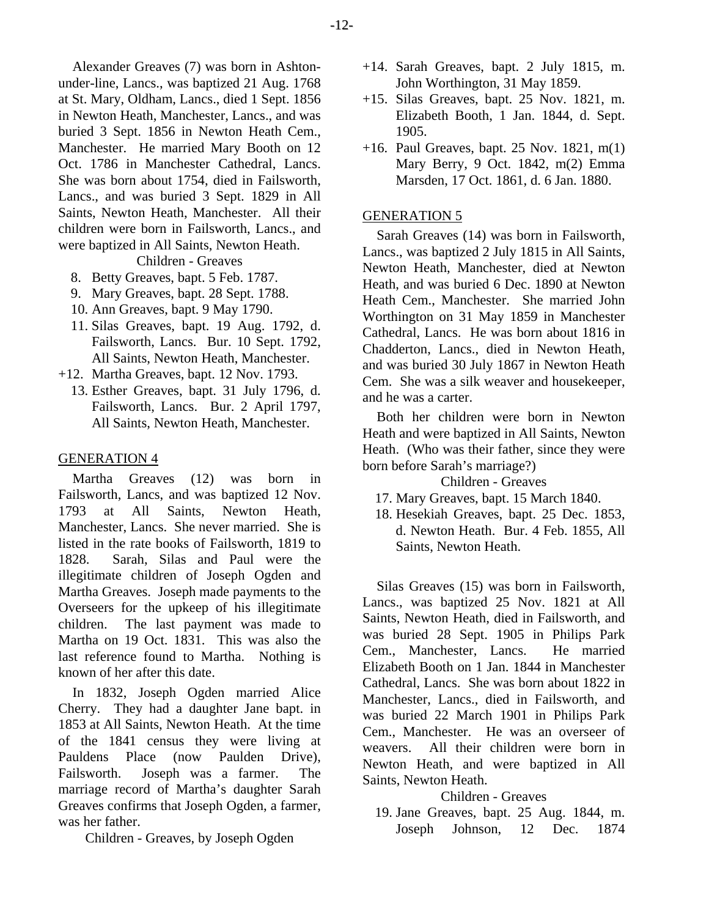Alexander Greaves (7) was born in Ashtonunder-line, Lancs., was baptized 21 Aug. 1768 at St. Mary, Oldham, Lancs., died 1 Sept. 1856 in Newton Heath, Manchester, Lancs., and was buried 3 Sept. 1856 in Newton Heath Cem., Manchester. He married Mary Booth on 12 Oct. 1786 in Manchester Cathedral, Lancs. She was born about 1754, died in Failsworth, Lancs., and was buried 3 Sept. 1829 in All Saints, Newton Heath, Manchester. All their children were born in Failsworth, Lancs., and were baptized in All Saints, Newton Heath.

Children - Greaves

- 8. Betty Greaves, bapt. 5 Feb. 1787.
- 9. Mary Greaves, bapt. 28 Sept. 1788.
- 10. Ann Greaves, bapt. 9 May 1790.
- 11. Silas Greaves, bapt. 19 Aug. 1792, d. Failsworth, Lancs. Bur. 10 Sept. 1792, All Saints, Newton Heath, Manchester.
- +12. Martha Greaves, bapt. 12 Nov. 1793.
	- 13. Esther Greaves, bapt. 31 July 1796, d. Failsworth, Lancs. Bur. 2 April 1797, All Saints, Newton Heath, Manchester.

## GENERATION 4

Martha Greaves (12) was born in Failsworth, Lancs, and was baptized 12 Nov. 1793 at All Saints, Newton Heath, Manchester, Lancs. She never married. She is listed in the rate books of Failsworth, 1819 to 1828. Sarah, Silas and Paul were the illegitimate children of Joseph Ogden and Martha Greaves. Joseph made payments to the Overseers for the upkeep of his illegitimate children. The last payment was made to Martha on 19 Oct. 1831. This was also the last reference found to Martha. Nothing is known of her after this date.

In 1832, Joseph Ogden married Alice Cherry. They had a daughter Jane bapt. in 1853 at All Saints, Newton Heath. At the time of the 1841 census they were living at Pauldens Place (now Paulden Drive), Failsworth. Joseph was a farmer. The marriage record of Martha's daughter Sarah Greaves confirms that Joseph Ogden, a farmer, was her father.

Children - Greaves, by Joseph Ogden

- +14. Sarah Greaves, bapt. 2 July 1815, m. John Worthington, 31 May 1859.
- +15. Silas Greaves, bapt. 25 Nov. 1821, m. Elizabeth Booth, 1 Jan. 1844, d. Sept. 1905.
- +16. Paul Greaves, bapt. 25 Nov. 1821, m(1) Mary Berry, 9 Oct. 1842, m(2) Emma Marsden, 17 Oct. 1861, d. 6 Jan. 1880.

## GENERATION 5

Sarah Greaves (14) was born in Failsworth, Lancs., was baptized 2 July 1815 in All Saints, Newton Heath, Manchester, died at Newton Heath, and was buried 6 Dec. 1890 at Newton Heath Cem., Manchester. She married John Worthington on 31 May 1859 in Manchester Cathedral, Lancs. He was born about 1816 in Chadderton, Lancs., died in Newton Heath, and was buried 30 July 1867 in Newton Heath Cem. She was a silk weaver and housekeeper, and he was a carter.

Both her children were born in Newton Heath and were baptized in All Saints, Newton Heath. (Who was their father, since they were born before Sarah's marriage?)

# Children - Greaves

- 17. Mary Greaves, bapt. 15 March 1840.
- 18. Hesekiah Greaves, bapt. 25 Dec. 1853, d. Newton Heath. Bur. 4 Feb. 1855, All Saints, Newton Heath.

Silas Greaves (15) was born in Failsworth, Lancs., was baptized 25 Nov. 1821 at All Saints, Newton Heath, died in Failsworth, and was buried 28 Sept. 1905 in Philips Park Cem., Manchester, Lancs. He married Elizabeth Booth on 1 Jan. 1844 in Manchester Cathedral, Lancs. She was born about 1822 in Manchester, Lancs., died in Failsworth, and was buried 22 March 1901 in Philips Park Cem., Manchester. He was an overseer of weavers. All their children were born in Newton Heath, and were baptized in All Saints, Newton Heath.

## Children - Greaves

 19. Jane Greaves, bapt. 25 Aug. 1844, m. Joseph Johnson, 12 Dec. 1874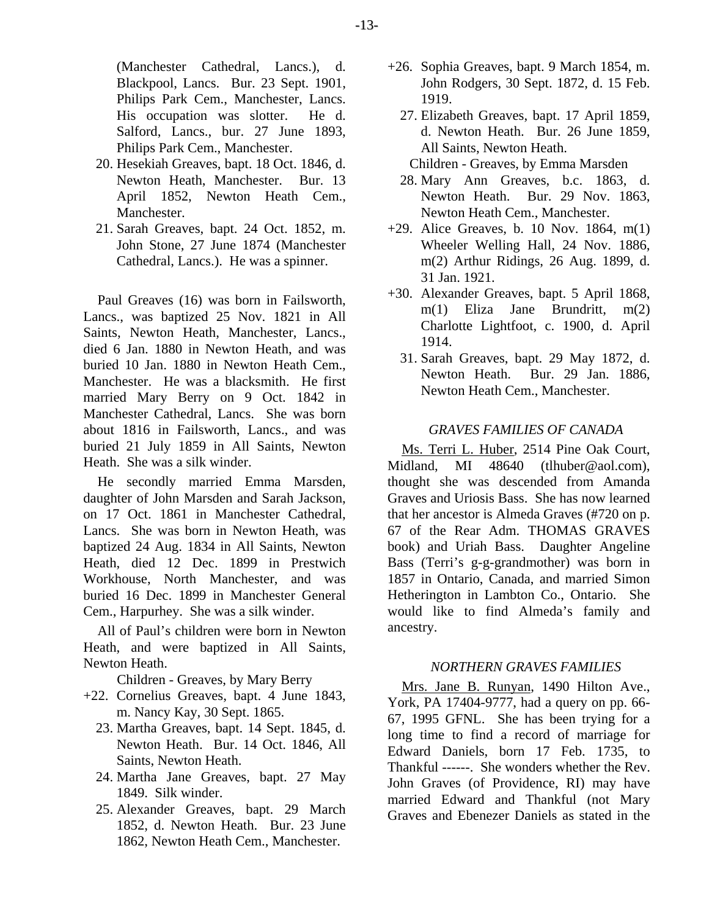- 20. Hesekiah Greaves, bapt. 18 Oct. 1846, d. Newton Heath, Manchester. Bur. 13 April 1852, Newton Heath Cem., Manchester.
- 21. Sarah Greaves, bapt. 24 Oct. 1852, m. John Stone, 27 June 1874 (Manchester Cathedral, Lancs.). He was a spinner.

Paul Greaves (16) was born in Failsworth, Lancs., was baptized 25 Nov. 1821 in All Saints, Newton Heath, Manchester, Lancs., died 6 Jan. 1880 in Newton Heath, and was buried 10 Jan. 1880 in Newton Heath Cem., Manchester. He was a blacksmith. He first married Mary Berry on 9 Oct. 1842 in Manchester Cathedral, Lancs. She was born about 1816 in Failsworth, Lancs., and was buried 21 July 1859 in All Saints, Newton Heath. She was a silk winder.

He secondly married Emma Marsden, daughter of John Marsden and Sarah Jackson, on 17 Oct. 1861 in Manchester Cathedral, Lancs. She was born in Newton Heath, was baptized 24 Aug. 1834 in All Saints, Newton Heath, died 12 Dec. 1899 in Prestwich Workhouse, North Manchester, and was buried 16 Dec. 1899 in Manchester General Cem., Harpurhey. She was a silk winder.

All of Paul's children were born in Newton Heath, and were baptized in All Saints, Newton Heath.

Children - Greaves, by Mary Berry

- +22. Cornelius Greaves, bapt. 4 June 1843, m. Nancy Kay, 30 Sept. 1865.
	- 23. Martha Greaves, bapt. 14 Sept. 1845, d. Newton Heath. Bur. 14 Oct. 1846, All Saints, Newton Heath.
	- 24. Martha Jane Greaves, bapt. 27 May 1849. Silk winder.
	- 25. Alexander Greaves, bapt. 29 March 1852, d. Newton Heath. Bur. 23 June 1862, Newton Heath Cem., Manchester.
- +26. Sophia Greaves, bapt. 9 March 1854, m. John Rodgers, 30 Sept. 1872, d. 15 Feb. 1919.
	- 27. Elizabeth Greaves, bapt. 17 April 1859, d. Newton Heath. Bur. 26 June 1859, All Saints, Newton Heath.
	- Children Greaves, by Emma Marsden
	- 28. Mary Ann Greaves, b.c. 1863, d. Newton Heath. Bur. 29 Nov. 1863, Newton Heath Cem., Manchester.
- $+29$ . Alice Greaves, b. 10 Nov. 1864, m(1) Wheeler Welling Hall, 24 Nov. 1886, m(2) Arthur Ridings, 26 Aug. 1899, d. 31 Jan. 1921.
- +30. Alexander Greaves, bapt. 5 April 1868, m(1) Eliza Jane Brundritt, m(2) Charlotte Lightfoot, c. 1900, d. April 1914.
	- 31. Sarah Greaves, bapt. 29 May 1872, d. Newton Heath. Bur. 29 Jan. 1886, Newton Heath Cem., Manchester.

# *GRAVES FAMILIES OF CANADA*

Ms. Terri L. Huber, 2514 Pine Oak Court, Midland, MI 48640 (tlhuber@aol.com), thought she was descended from Amanda Graves and Uriosis Bass. She has now learned that her ancestor is Almeda Graves (#720 on p. 67 of the Rear Adm. THOMAS GRAVES book) and Uriah Bass. Daughter Angeline Bass (Terri's g-g-grandmother) was born in 1857 in Ontario, Canada, and married Simon Hetherington in Lambton Co., Ontario. She would like to find Almeda's family and ancestry.

## *NORTHERN GRAVES FAMILIES*

Mrs. Jane B. Runyan, 1490 Hilton Ave., York, PA 17404-9777, had a query on pp. 66- 67, 1995 GFNL. She has been trying for a long time to find a record of marriage for Edward Daniels, born 17 Feb. 1735, to Thankful ------. She wonders whether the Rev. John Graves (of Providence, RI) may have married Edward and Thankful (not Mary Graves and Ebenezer Daniels as stated in the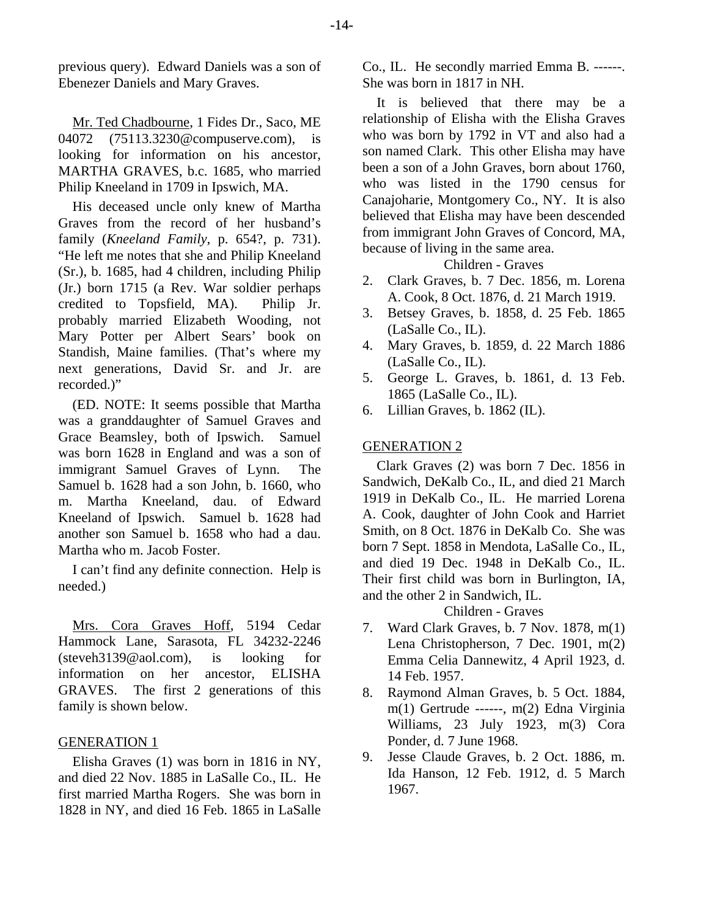previous query). Edward Daniels was a son of Ebenezer Daniels and Mary Graves.

Mr. Ted Chadbourne, 1 Fides Dr., Saco, ME 04072 (75113.3230@compuserve.com), is looking for information on his ancestor, MARTHA GRAVES, b.c. 1685, who married Philip Kneeland in 1709 in Ipswich, MA.

His deceased uncle only knew of Martha Graves from the record of her husband's family (*Kneeland Family*, p. 654?, p. 731). "He left me notes that she and Philip Kneeland (Sr.), b. 1685, had 4 children, including Philip (Jr.) born 1715 (a Rev. War soldier perhaps credited to Topsfield, MA). Philip Jr. probably married Elizabeth Wooding, not Mary Potter per Albert Sears' book on Standish, Maine families. (That's where my next generations, David Sr. and Jr. are recorded.)"

(ED. NOTE: It seems possible that Martha was a granddaughter of Samuel Graves and Grace Beamsley, both of Ipswich. Samuel was born 1628 in England and was a son of immigrant Samuel Graves of Lynn. The Samuel b. 1628 had a son John, b. 1660, who m. Martha Kneeland, dau. of Edward Kneeland of Ipswich. Samuel b. 1628 had another son Samuel b. 1658 who had a dau. Martha who m. Jacob Foster.

I can't find any definite connection. Help is needed.)

Mrs. Cora Graves Hoff, 5194 Cedar Hammock Lane, Sarasota, FL 34232-2246 (steveh3139@aol.com), is looking for information on her ancestor, ELISHA GRAVES. The first 2 generations of this family is shown below.

## GENERATION 1

Elisha Graves (1) was born in 1816 in NY, and died 22 Nov. 1885 in LaSalle Co., IL. He first married Martha Rogers. She was born in 1828 in NY, and died 16 Feb. 1865 in LaSalle Co., IL. He secondly married Emma B. ------. She was born in 1817 in NH.

It is believed that there may be a relationship of Elisha with the Elisha Graves who was born by 1792 in VT and also had a son named Clark. This other Elisha may have been a son of a John Graves, born about 1760, who was listed in the 1790 census for Canajoharie, Montgomery Co., NY. It is also believed that Elisha may have been descended from immigrant John Graves of Concord, MA, because of living in the same area.

Children - Graves

- 2. Clark Graves, b. 7 Dec. 1856, m. Lorena A. Cook, 8 Oct. 1876, d. 21 March 1919.
- 3. Betsey Graves, b. 1858, d. 25 Feb. 1865 (LaSalle Co., IL).
- 4. Mary Graves, b. 1859, d. 22 March 1886 (LaSalle Co., IL).
- 5. George L. Graves, b. 1861, d. 13 Feb. 1865 (LaSalle Co., IL).
- 6. Lillian Graves, b. 1862 (IL).

# GENERATION 2

Clark Graves (2) was born 7 Dec. 1856 in Sandwich, DeKalb Co., IL, and died 21 March 1919 in DeKalb Co., IL. He married Lorena A. Cook, daughter of John Cook and Harriet Smith, on 8 Oct. 1876 in DeKalb Co. She was born 7 Sept. 1858 in Mendota, LaSalle Co., IL, and died 19 Dec. 1948 in DeKalb Co., IL. Their first child was born in Burlington, IA, and the other 2 in Sandwich, IL.

# Children - Graves

- 7. Ward Clark Graves, b. 7 Nov. 1878, m(1) Lena Christopherson, 7 Dec. 1901, m(2) Emma Celia Dannewitz, 4 April 1923, d. 14 Feb. 1957.
- 8. Raymond Alman Graves, b. 5 Oct. 1884, m(1) Gertrude ------, m(2) Edna Virginia Williams, 23 July 1923, m(3) Cora Ponder, d. 7 June 1968.
- 9. Jesse Claude Graves, b. 2 Oct. 1886, m. Ida Hanson, 12 Feb. 1912, d. 5 March 1967.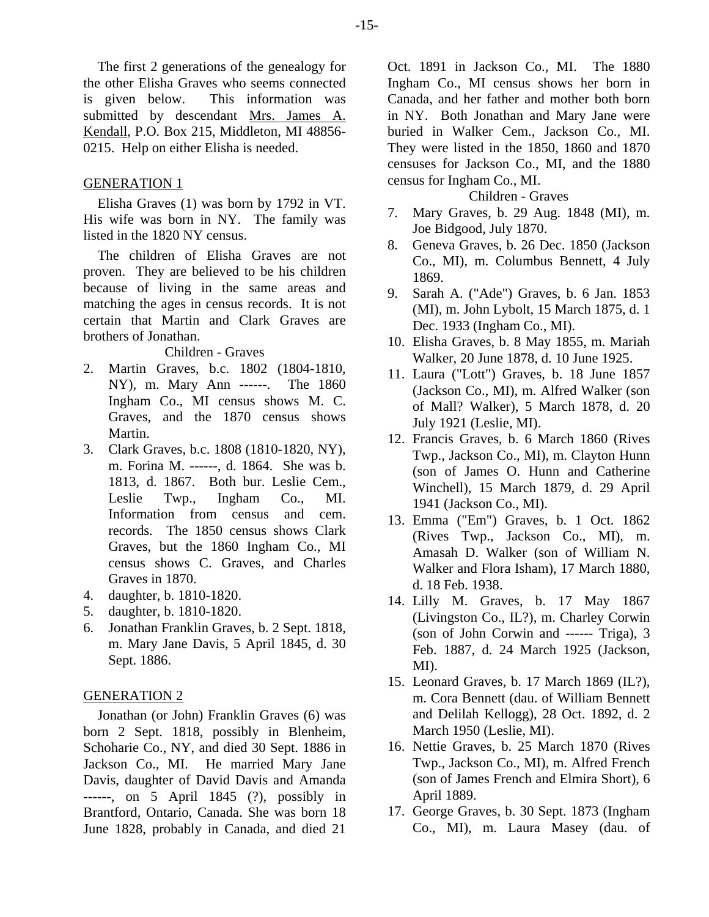The first 2 generations of the genealogy for the other Elisha Graves who seems connected is given below. This information was submitted by descendant Mrs. James A. Kendall, P.O. Box 215, Middleton, MI 48856- 0215. Help on either Elisha is needed.

# GENERATION 1

Elisha Graves (1) was born by 1792 in VT. His wife was born in NY. The family was listed in the 1820 NY census.

The children of Elisha Graves are not proven. They are believed to be his children because of living in the same areas and matching the ages in census records. It is not certain that Martin and Clark Graves are brothers of Jonathan.

## Children - Graves

- 2. Martin Graves, b.c. 1802 (1804-1810, NY), m. Mary Ann ------. The 1860 Ingham Co., MI census shows M. C. Graves, and the 1870 census shows Martin.
- 3. Clark Graves, b.c. 1808 (1810-1820, NY), m. Forina M. ------, d. 1864. She was b. 1813, d. 1867. Both bur. Leslie Cem., Leslie Twp., Ingham Co., MI. Information from census and cem. records. The 1850 census shows Clark Graves, but the 1860 Ingham Co., MI census shows C. Graves, and Charles Graves in 1870.
- 4. daughter, b. 1810-1820.
- 5. daughter, b. 1810-1820.
- 6. Jonathan Franklin Graves, b. 2 Sept. 1818, m. Mary Jane Davis, 5 April 1845, d. 30 Sept. 1886.

## GENERATION 2

Jonathan (or John) Franklin Graves (6) was born 2 Sept. 1818, possibly in Blenheim, Schoharie Co., NY, and died 30 Sept. 1886 in Jackson Co., MI. He married Mary Jane Davis, daughter of David Davis and Amanda ------, on 5 April 1845 (?), possibly in Brantford, Ontario, Canada. She was born 18 June 1828, probably in Canada, and died 21 Oct. 1891 in Jackson Co., MI. The 1880 Ingham Co., MI census shows her born in Canada, and her father and mother both born in NY. Both Jonathan and Mary Jane were buried in Walker Cem., Jackson Co., MI. They were listed in the 1850, 1860 and 1870 censuses for Jackson Co., MI, and the 1880 census for Ingham Co., MI.

## Children - Graves

- 7. Mary Graves, b. 29 Aug. 1848 (MI), m. Joe Bidgood, July 1870.
- 8. Geneva Graves, b. 26 Dec. 1850 (Jackson Co., MI), m. Columbus Bennett, 4 July 1869.
- 9. Sarah A. ("Ade") Graves, b. 6 Jan. 1853 (MI), m. John Lybolt, 15 March 1875, d. 1 Dec. 1933 (Ingham Co., MI).
- 10. Elisha Graves, b. 8 May 1855, m. Mariah Walker, 20 June 1878, d. 10 June 1925.
- 11. Laura ("Lott") Graves, b. 18 June 1857 (Jackson Co., MI), m. Alfred Walker (son of Mall? Walker), 5 March 1878, d. 20 July 1921 (Leslie, MI).
- 12. Francis Graves, b. 6 March 1860 (Rives Twp., Jackson Co., MI), m. Clayton Hunn (son of James O. Hunn and Catherine Winchell), 15 March 1879, d. 29 April 1941 (Jackson Co., MI).
- 13. Emma ("Em") Graves, b. 1 Oct. 1862 (Rives Twp., Jackson Co., MI), m. Amasah D. Walker (son of William N. Walker and Flora Isham), 17 March 1880, d. 18 Feb. 1938.
- 14. Lilly M. Graves, b. 17 May 1867 (Livingston Co., IL?), m. Charley Corwin (son of John Corwin and ------ Triga), 3 Feb. 1887, d. 24 March 1925 (Jackson, MI).
- 15. Leonard Graves, b. 17 March 1869 (IL?), m. Cora Bennett (dau. of William Bennett and Delilah Kellogg), 28 Oct. 1892, d. 2 March 1950 (Leslie, MI).
- 16. Nettie Graves, b. 25 March 1870 (Rives Twp., Jackson Co., MI), m. Alfred French (son of James French and Elmira Short), 6 April 1889.
- 17. George Graves, b. 30 Sept. 1873 (Ingham Co., MI), m. Laura Masey (dau. of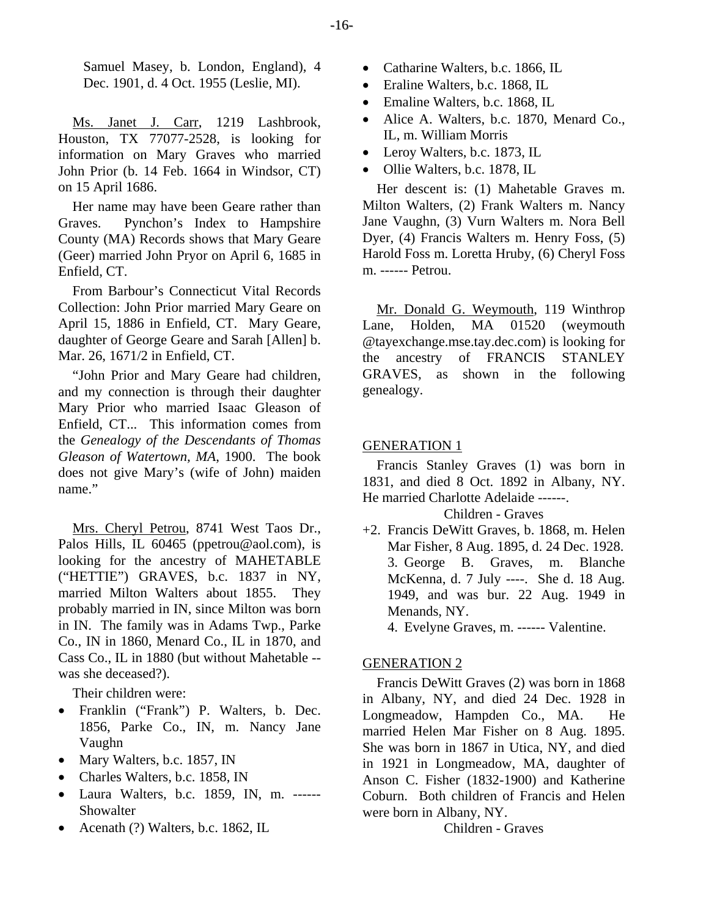Samuel Masey, b. London, England), 4 Dec. 1901, d. 4 Oct. 1955 (Leslie, MI).

Ms. Janet J. Carr, 1219 Lashbrook, Houston, TX 77077-2528, is looking for information on Mary Graves who married John Prior (b. 14 Feb. 1664 in Windsor, CT) on 15 April 1686.

Her name may have been Geare rather than Graves. Pynchon's Index to Hampshire County (MA) Records shows that Mary Geare (Geer) married John Pryor on April 6, 1685 in Enfield, CT.

From Barbour's Connecticut Vital Records Collection: John Prior married Mary Geare on April 15, 1886 in Enfield, CT. Mary Geare, daughter of George Geare and Sarah [Allen] b. Mar. 26, 1671/2 in Enfield, CT.

"John Prior and Mary Geare had children, and my connection is through their daughter Mary Prior who married Isaac Gleason of Enfield, CT... This information comes from the *Genealogy of the Descendants of Thomas Gleason of Watertown, MA*, 1900. The book does not give Mary's (wife of John) maiden name."

Mrs. Cheryl Petrou, 8741 West Taos Dr., Palos Hills, IL 60465 (ppetrou@aol.com), is looking for the ancestry of MAHETABLE ("HETTIE") GRAVES, b.c. 1837 in NY, married Milton Walters about 1855. They probably married in IN, since Milton was born in IN. The family was in Adams Twp., Parke Co., IN in 1860, Menard Co., IL in 1870, and Cass Co., IL in 1880 (but without Mahetable - was she deceased?).

Their children were:

- Franklin ("Frank") P. Walters, b. Dec. 1856, Parke Co., IN, m. Nancy Jane Vaughn
- Mary Walters, b.c. 1857, IN
- Charles Walters, b.c. 1858, IN
- Laura Walters, b.c. 1859, IN, m. ------ Showalter
- Acenath (?) Walters, b.c. 1862, IL
- Catharine Walters, b.c. 1866, IL
- Eraline Walters, b.c. 1868, IL
- Emaline Walters, b.c. 1868, IL
- Alice A. Walters, b.c. 1870, Menard Co., IL, m. William Morris
- Leroy Walters, b.c. 1873, IL
- Ollie Walters, b.c. 1878, IL

Her descent is: (1) Mahetable Graves m. Milton Walters, (2) Frank Walters m. Nancy Jane Vaughn, (3) Vurn Walters m. Nora Bell Dyer, (4) Francis Walters m. Henry Foss, (5) Harold Foss m. Loretta Hruby, (6) Cheryl Foss m. ------ Petrou.

Mr. Donald G. Weymouth, 119 Winthrop Lane, Holden, MA 01520 (weymouth @tayexchange.mse.tay.dec.com) is looking for the ancestry of FRANCIS STANLEY GRAVES, as shown in the following genealogy.

## GENERATION 1

Francis Stanley Graves (1) was born in 1831, and died 8 Oct. 1892 in Albany, NY. He married Charlotte Adelaide ------.

## Children - Graves

+2. Francis DeWitt Graves, b. 1868, m. Helen Mar Fisher, 8 Aug. 1895, d. 24 Dec. 1928. 3. George B. Graves, m. Blanche McKenna, d. 7 July ----. She d. 18 Aug. 1949, and was bur. 22 Aug. 1949 in Menands, NY.

4. Evelyne Graves, m. ------ Valentine.

## GENERATION 2

Francis DeWitt Graves (2) was born in 1868 in Albany, NY, and died 24 Dec. 1928 in Longmeadow, Hampden Co., MA. He married Helen Mar Fisher on 8 Aug. 1895. She was born in 1867 in Utica, NY, and died in 1921 in Longmeadow, MA, daughter of Anson C. Fisher (1832-1900) and Katherine Coburn. Both children of Francis and Helen were born in Albany, NY.

Children - Graves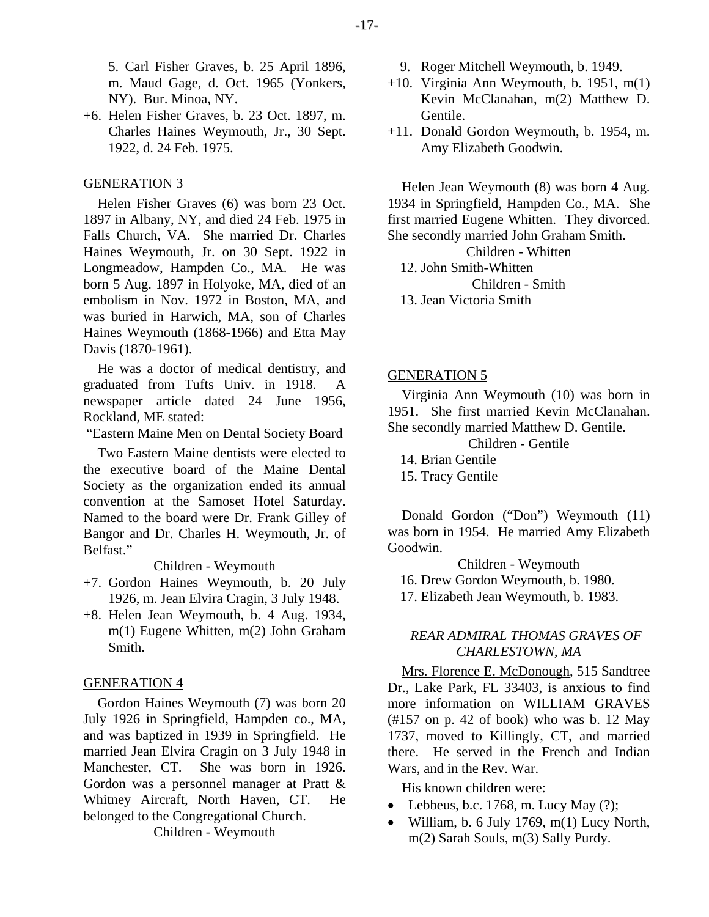5. Carl Fisher Graves, b. 25 April 1896, m. Maud Gage, d. Oct. 1965 (Yonkers, NY). Bur. Minoa, NY.

+6. Helen Fisher Graves, b. 23 Oct. 1897, m. Charles Haines Weymouth, Jr., 30 Sept. 1922, d. 24 Feb. 1975.

# GENERATION 3

Helen Fisher Graves (6) was born 23 Oct. 1897 in Albany, NY, and died 24 Feb. 1975 in Falls Church, VA. She married Dr. Charles Haines Weymouth, Jr. on 30 Sept. 1922 in Longmeadow, Hampden Co., MA. He was born 5 Aug. 1897 in Holyoke, MA, died of an embolism in Nov. 1972 in Boston, MA, and was buried in Harwich, MA, son of Charles Haines Weymouth (1868-1966) and Etta May Davis (1870-1961).

He was a doctor of medical dentistry, and graduated from Tufts Univ. in 1918. A newspaper article dated 24 June 1956, Rockland, ME stated:

"Eastern Maine Men on Dental Society Board

Two Eastern Maine dentists were elected to the executive board of the Maine Dental Society as the organization ended its annual convention at the Samoset Hotel Saturday. Named to the board were Dr. Frank Gilley of Bangor and Dr. Charles H. Weymouth, Jr. of Belfast."

Children - Weymouth

- +7. Gordon Haines Weymouth, b. 20 July 1926, m. Jean Elvira Cragin, 3 July 1948.
- +8. Helen Jean Weymouth, b. 4 Aug. 1934, m(1) Eugene Whitten, m(2) John Graham Smith.

# GENERATION 4

Gordon Haines Weymouth (7) was born 20 July 1926 in Springfield, Hampden co., MA, and was baptized in 1939 in Springfield. He married Jean Elvira Cragin on 3 July 1948 in Manchester, CT. She was born in 1926. Gordon was a personnel manager at Pratt & Whitney Aircraft, North Haven, CT. He belonged to the Congregational Church.

Children - Weymouth

- 9. Roger Mitchell Weymouth, b. 1949.
- $+10$ . Virginia Ann Weymouth, b. 1951, m(1) Kevin McClanahan, m(2) Matthew D. Gentile.
- +11. Donald Gordon Weymouth, b. 1954, m. Amy Elizabeth Goodwin.

Helen Jean Weymouth (8) was born 4 Aug. 1934 in Springfield, Hampden Co., MA. She first married Eugene Whitten. They divorced. She secondly married John Graham Smith.

Children - Whitten

12. John Smith-Whitten

Children - Smith

13. Jean Victoria Smith

# GENERATION 5

Virginia Ann Weymouth (10) was born in 1951. She first married Kevin McClanahan. She secondly married Matthew D. Gentile.

Children - Gentile

14. Brian Gentile

15. Tracy Gentile

Donald Gordon ("Don") Weymouth (11) was born in 1954. He married Amy Elizabeth Goodwin.

Children - Weymouth 16. Drew Gordon Weymouth, b. 1980. 17. Elizabeth Jean Weymouth, b. 1983.

# *REAR ADMIRAL THOMAS GRAVES OF CHARLESTOWN, MA*

Mrs. Florence E. McDonough, 515 Sandtree Dr., Lake Park, FL 33403, is anxious to find more information on WILLIAM GRAVES (#157 on p. 42 of book) who was b. 12 May 1737, moved to Killingly, CT, and married there. He served in the French and Indian Wars, and in the Rev. War.

His known children were:

- Lebbeus, b.c. 1768, m. Lucy May  $(?)$ ;
- William, b. 6 July 1769,  $m(1)$  Lucy North, m(2) Sarah Souls, m(3) Sally Purdy.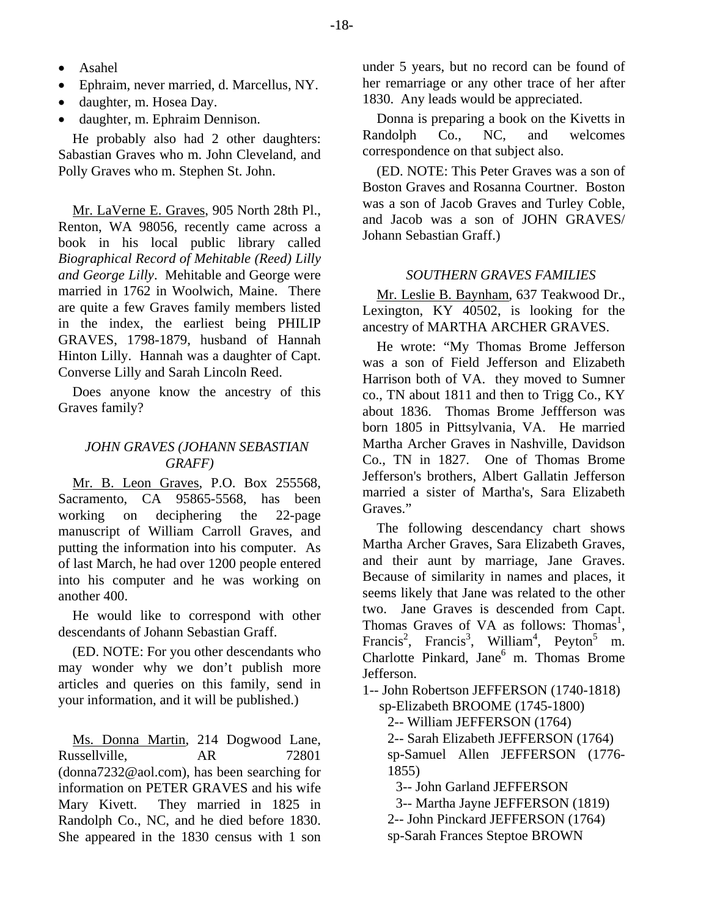- Asahel
- Ephraim, never married, d. Marcellus, NY.
- daughter, m. Hosea Day.
- daughter, m. Ephraim Dennison.

He probably also had 2 other daughters: Sabastian Graves who m. John Cleveland, and Polly Graves who m. Stephen St. John.

Mr. LaVerne E. Graves, 905 North 28th Pl., Renton, WA 98056, recently came across a book in his local public library called *Biographical Record of Mehitable (Reed) Lilly and George Lilly*. Mehitable and George were married in 1762 in Woolwich, Maine. There are quite a few Graves family members listed in the index, the earliest being PHILIP GRAVES, 1798-1879, husband of Hannah Hinton Lilly. Hannah was a daughter of Capt. Converse Lilly and Sarah Lincoln Reed.

Does anyone know the ancestry of this Graves family?

# *JOHN GRAVES (JOHANN SEBASTIAN GRAFF)*

Mr. B. Leon Graves, P.O. Box 255568, Sacramento, CA 95865-5568, has been working on deciphering the 22-page manuscript of William Carroll Graves, and putting the information into his computer. As of last March, he had over 1200 people entered into his computer and he was working on another 400.

He would like to correspond with other descendants of Johann Sebastian Graff.

(ED. NOTE: For you other descendants who may wonder why we don't publish more articles and queries on this family, send in your information, and it will be published.)

Ms. Donna Martin, 214 Dogwood Lane, Russellville, AR 72801 (donna7232@aol.com), has been searching for information on PETER GRAVES and his wife Mary Kivett. They married in 1825 in Randolph Co., NC, and he died before 1830. She appeared in the 1830 census with 1 son

under 5 years, but no record can be found of her remarriage or any other trace of her after 1830. Any leads would be appreciated.

Donna is preparing a book on the Kivetts in Randolph Co., NC, and welcomes correspondence on that subject also.

(ED. NOTE: This Peter Graves was a son of Boston Graves and Rosanna Courtner. Boston was a son of Jacob Graves and Turley Coble, and Jacob was a son of JOHN GRAVES/ Johann Sebastian Graff.)

## *SOUTHERN GRAVES FAMILIES*

Mr. Leslie B. Baynham, 637 Teakwood Dr., Lexington, KY 40502, is looking for the ancestry of MARTHA ARCHER GRAVES.

He wrote: "My Thomas Brome Jefferson was a son of Field Jefferson and Elizabeth Harrison both of VA. they moved to Sumner co., TN about 1811 and then to Trigg Co., KY about 1836. Thomas Brome Jeffferson was born 1805 in Pittsylvania, VA. He married Martha Archer Graves in Nashville, Davidson Co., TN in 1827. One of Thomas Brome Jefferson's brothers, Albert Gallatin Jefferson married a sister of Martha's, Sara Elizabeth Graves."

The following descendancy chart shows Martha Archer Graves, Sara Elizabeth Graves, and their aunt by marriage, Jane Graves. Because of similarity in names and places, it seems likely that Jane was related to the other two. Jane Graves is descended from Capt. Thomas Graves of VA as follows: Thomas<sup>1</sup>, Francis<sup>2</sup>, Francis<sup>3</sup>, William<sup>4</sup>, Peyton<sup>5</sup> m. Charlotte Pinkard, Jane<sup>6</sup> m. Thomas Brome Jefferson.

1-- John Robertson JEFFERSON (1740-1818)

sp-Elizabeth BROOME (1745-1800)

2-- William JEFFERSON (1764)

 2-- Sarah Elizabeth JEFFERSON (1764) sp-Samuel Allen JEFFERSON (1776- 1855)

3-- John Garland JEFFERSON

3-- Martha Jayne JEFFERSON (1819)

2-- John Pinckard JEFFERSON (1764)

sp-Sarah Frances Steptoe BROWN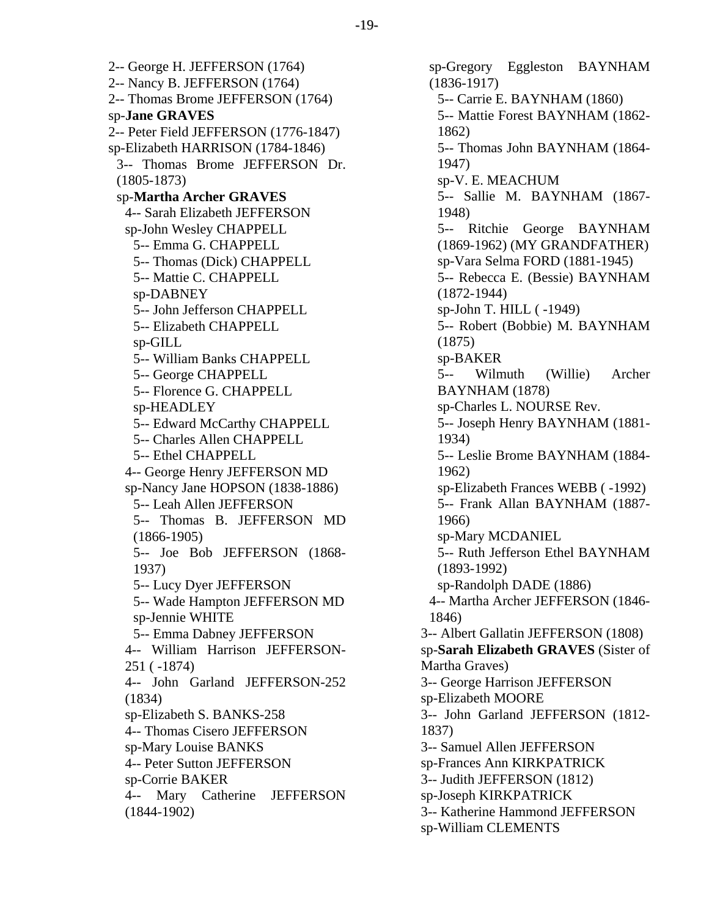2-- George H. JEFFERSON (1764) 2-- Nancy B. JEFFERSON (1764) 2-- Thomas Brome JEFFERSON (1764) sp-**Jane GRAVES** 2-- Peter Field JEFFERSON (1776-1847) sp-Elizabeth HARRISON (1784-1846) 3-- Thomas Brome JEFFERSON Dr. (1805-1873) sp-**Martha Archer GRAVES** 4-- Sarah Elizabeth JEFFERSON sp-John Wesley CHAPPELL 5-- Emma G. CHAPPELL 5-- Thomas (Dick) CHAPPELL 5-- Mattie C. CHAPPELL sp-DABNEY 5-- John Jefferson CHAPPELL 5-- Elizabeth CHAPPELL sp-GILL 5-- William Banks CHAPPELL 5-- George CHAPPELL 5-- Florence G. CHAPPELL sp-HEADLEY 5-- Edward McCarthy CHAPPELL 5-- Charles Allen CHAPPELL 5-- Ethel CHAPPELL 4-- George Henry JEFFERSON MD sp-Nancy Jane HOPSON (1838-1886) 5-- Leah Allen JEFFERSON 5-- Thomas B. JEFFERSON MD (1866-1905) 5-- Joe Bob JEFFERSON (1868- 1937) 5-- Lucy Dyer JEFFERSON 5-- Wade Hampton JEFFERSON MD sp-Jennie WHITE 5-- Emma Dabney JEFFERSON 4-- William Harrison JEFFERSON-251 ( -1874) 4-- John Garland JEFFERSON-252 (1834) sp-Elizabeth S. BANKS-258 4-- Thomas Cisero JEFFERSON sp-Mary Louise BANKS 4-- Peter Sutton JEFFERSON sp-Corrie BAKER 4-- Mary Catherine JEFFERSON (1844-1902)

sp-Gregory Eggleston BAYNHAM (1836-1917) 5-- Carrie E. BAYNHAM (1860) 5-- Mattie Forest BAYNHAM (1862- 1862) 5-- Thomas John BAYNHAM (1864- 1947) sp-V. E. MEACHUM 5-- Sallie M. BAYNHAM (1867- 1948) 5-- Ritchie George BAYNHAM (1869-1962) (MY GRANDFATHER) sp-Vara Selma FORD (1881-1945) 5-- Rebecca E. (Bessie) BAYNHAM (1872-1944) sp-John T. HILL ( -1949) 5-- Robert (Bobbie) M. BAYNHAM (1875) sp-BAKER 5-- Wilmuth (Willie) Archer BAYNHAM (1878) sp-Charles L. NOURSE Rev. 5-- Joseph Henry BAYNHAM (1881- 1934) 5-- Leslie Brome BAYNHAM (1884- 1962) sp-Elizabeth Frances WEBB ( -1992) 5-- Frank Allan BAYNHAM (1887- 1966) sp-Mary MCDANIEL 5-- Ruth Jefferson Ethel BAYNHAM (1893-1992) sp-Randolph DADE (1886) 4-- Martha Archer JEFFERSON (1846- 1846) 3-- Albert Gallatin JEFFERSON (1808) sp-**Sarah Elizabeth GRAVES** (Sister of Martha Graves) 3-- George Harrison JEFFERSON sp-Elizabeth MOORE 3-- John Garland JEFFERSON (1812- 1837) 3-- Samuel Allen JEFFERSON sp-Frances Ann KIRKPATRICK 3-- Judith JEFFERSON (1812) sp-Joseph KIRKPATRICK 3-- Katherine Hammond JEFFERSON sp-William CLEMENTS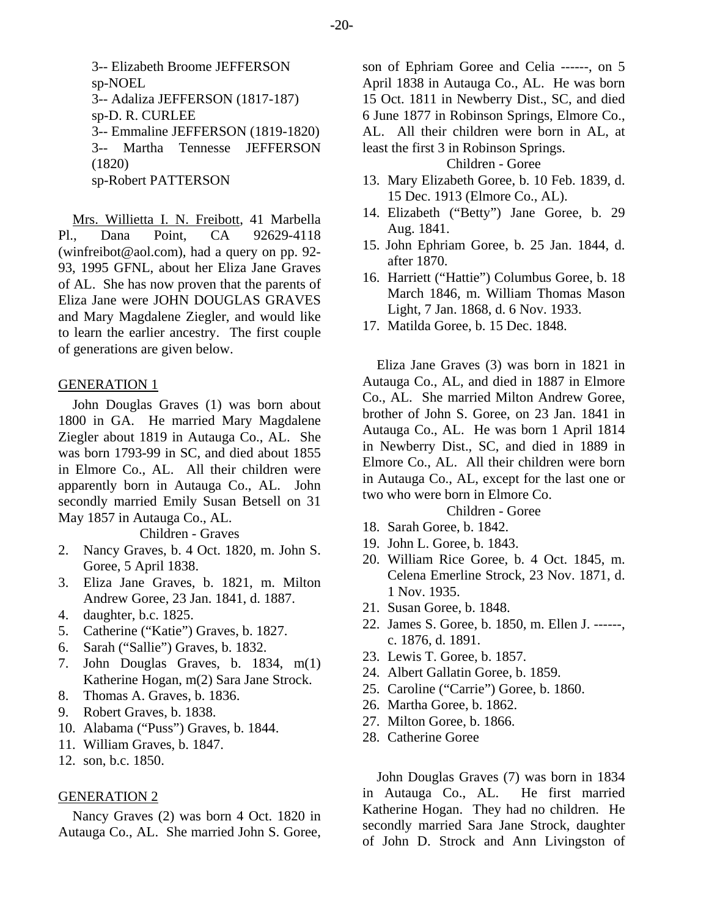3-- Elizabeth Broome JEFFERSON sp-NOEL 3-- Adaliza JEFFERSON (1817-187) sp-D. R. CURLEE 3-- Emmaline JEFFERSON (1819-1820) 3-- Martha Tennesse JEFFERSON (1820) sp-Robert PATTERSON

Mrs. Willietta I. N. Freibott, 41 Marbella Pl., Dana Point, CA 92629-4118 (winfreibot@aol.com), had a query on pp. 92- 93, 1995 GFNL, about her Eliza Jane Graves of AL. She has now proven that the parents of Eliza Jane were JOHN DOUGLAS GRAVES and Mary Magdalene Ziegler, and would like to learn the earlier ancestry. The first couple of generations are given below.

## GENERATION 1

John Douglas Graves (1) was born about 1800 in GA. He married Mary Magdalene Ziegler about 1819 in Autauga Co., AL. She was born 1793-99 in SC, and died about 1855 in Elmore Co., AL. All their children were apparently born in Autauga Co., AL. John secondly married Emily Susan Betsell on 31 May 1857 in Autauga Co., AL.

Children - Graves

- 2. Nancy Graves, b. 4 Oct. 1820, m. John S. Goree, 5 April 1838.
- 3. Eliza Jane Graves, b. 1821, m. Milton Andrew Goree, 23 Jan. 1841, d. 1887.
- 4. daughter, b.c. 1825.
- 5. Catherine ("Katie") Graves, b. 1827.
- 6. Sarah ("Sallie") Graves, b. 1832.
- 7. John Douglas Graves, b. 1834, m(1) Katherine Hogan, m(2) Sara Jane Strock.
- 8. Thomas A. Graves, b. 1836.
- 9. Robert Graves, b. 1838.
- 10. Alabama ("Puss") Graves, b. 1844.
- 11. William Graves, b. 1847.
- 12. son, b.c. 1850.

## GENERATION 2

Nancy Graves (2) was born 4 Oct. 1820 in Autauga Co., AL. She married John S. Goree,

son of Ephriam Goree and Celia ------, on 5 April 1838 in Autauga Co., AL. He was born 15 Oct. 1811 in Newberry Dist., SC, and died 6 June 1877 in Robinson Springs, Elmore Co., AL. All their children were born in AL, at least the first 3 in Robinson Springs.

Children - Goree

- 13. Mary Elizabeth Goree, b. 10 Feb. 1839, d. 15 Dec. 1913 (Elmore Co., AL).
- 14. Elizabeth ("Betty") Jane Goree, b. 29 Aug. 1841.
- 15. John Ephriam Goree, b. 25 Jan. 1844, d. after 1870.
- 16. Harriett ("Hattie") Columbus Goree, b. 18 March 1846, m. William Thomas Mason Light, 7 Jan. 1868, d. 6 Nov. 1933.
- 17. Matilda Goree, b. 15 Dec. 1848.

Eliza Jane Graves (3) was born in 1821 in Autauga Co., AL, and died in 1887 in Elmore Co., AL. She married Milton Andrew Goree, brother of John S. Goree, on 23 Jan. 1841 in Autauga Co., AL. He was born 1 April 1814 in Newberry Dist., SC, and died in 1889 in Elmore Co., AL. All their children were born in Autauga Co., AL, except for the last one or two who were born in Elmore Co.

Children - Goree

- 18. Sarah Goree, b. 1842.
- 19. John L. Goree, b. 1843.
- 20. William Rice Goree, b. 4 Oct. 1845, m. Celena Emerline Strock, 23 Nov. 1871, d. 1 Nov. 1935.
- 21. Susan Goree, b. 1848.
- 22. James S. Goree, b. 1850, m. Ellen J. ------, c. 1876, d. 1891.
- 23. Lewis T. Goree, b. 1857.
- 24. Albert Gallatin Goree, b. 1859.
- 25. Caroline ("Carrie") Goree, b. 1860.
- 26. Martha Goree, b. 1862.
- 27. Milton Goree, b. 1866.
- 28. Catherine Goree

John Douglas Graves (7) was born in 1834 in Autauga Co., AL. He first married Katherine Hogan. They had no children. He secondly married Sara Jane Strock, daughter of John D. Strock and Ann Livingston of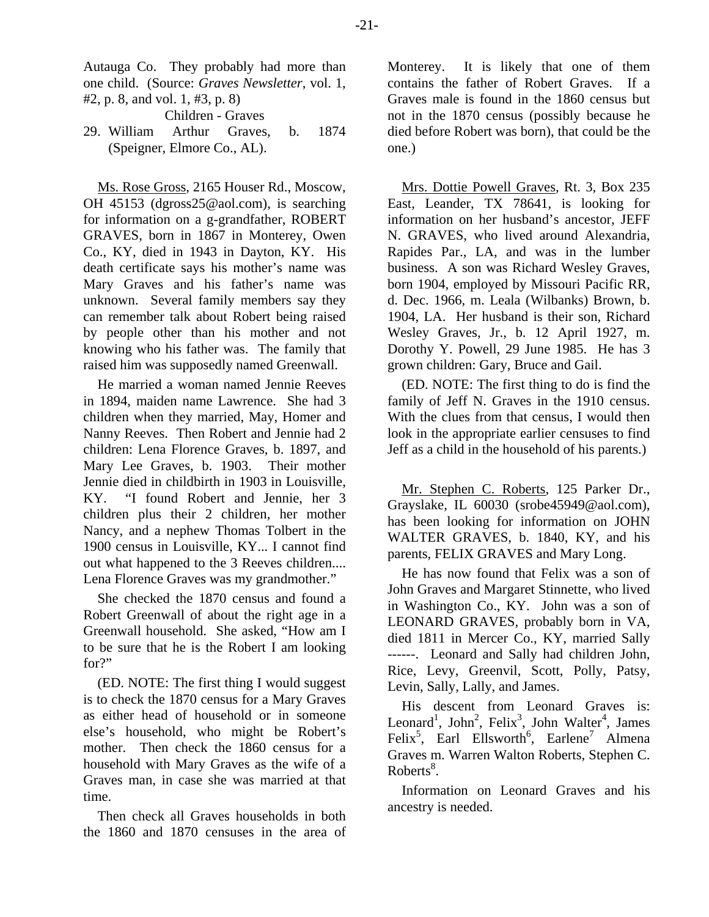Autauga Co. They probably had more than one child. (Source: *Graves Newsletter*, vol. 1, #2, p. 8, and vol. 1, #3, p. 8)

Children - Graves

29. William Arthur Graves, b. 1874 (Speigner, Elmore Co., AL).

Ms. Rose Gross, 2165 Houser Rd., Moscow, OH 45153 (dgross25@aol.com), is searching for information on a g-grandfather, ROBERT GRAVES, born in 1867 in Monterey, Owen Co., KY, died in 1943 in Dayton, KY. His death certificate says his mother's name was Mary Graves and his father's name was unknown. Several family members say they can remember talk about Robert being raised by people other than his mother and not knowing who his father was. The family that raised him was supposedly named Greenwall.

He married a woman named Jennie Reeves in 1894, maiden name Lawrence. She had 3 children when they married, May, Homer and Nanny Reeves. Then Robert and Jennie had 2 children: Lena Florence Graves, b. 1897, and Mary Lee Graves, b. 1903. Their mother Jennie died in childbirth in 1903 in Louisville, KY. "I found Robert and Jennie, her 3 children plus their 2 children, her mother Nancy, and a nephew Thomas Tolbert in the 1900 census in Louisville, KY... I cannot find out what happened to the 3 Reeves children.... Lena Florence Graves was my grandmother."

She checked the 1870 census and found a Robert Greenwall of about the right age in a Greenwall household. She asked, "How am I to be sure that he is the Robert I am looking for?"

(ED. NOTE: The first thing I would suggest is to check the 1870 census for a Mary Graves as either head of household or in someone else's household, who might be Robert's mother. Then check the 1860 census for a household with Mary Graves as the wife of a Graves man, in case she was married at that time.

Then check all Graves households in both the 1860 and 1870 censuses in the area of Monterey. It is likely that one of them contains the father of Robert Graves. If a Graves male is found in the 1860 census but not in the 1870 census (possibly because he died before Robert was born), that could be the one.)

Mrs. Dottie Powell Graves, Rt. 3, Box 235 East, Leander, TX 78641, is looking for information on her husband's ancestor, JEFF N. GRAVES, who lived around Alexandria, Rapides Par., LA, and was in the lumber business. A son was Richard Wesley Graves, born 1904, employed by Missouri Pacific RR, d. Dec. 1966, m. Leala (Wilbanks) Brown, b. 1904, LA. Her husband is their son, Richard Wesley Graves, Jr., b. 12 April 1927, m. Dorothy Y. Powell, 29 June 1985. He has 3 grown children: Gary, Bruce and Gail.

(ED. NOTE: The first thing to do is find the family of Jeff N. Graves in the 1910 census. With the clues from that census, I would then look in the appropriate earlier censuses to find Jeff as a child in the household of his parents.)

Mr. Stephen C. Roberts, 125 Parker Dr., Grayslake, IL 60030 (srobe45949@aol.com), has been looking for information on JOHN WALTER GRAVES, b. 1840, KY, and his parents, FELIX GRAVES and Mary Long.

He has now found that Felix was a son of John Graves and Margaret Stinnette, who lived in Washington Co., KY. John was a son of LEONARD GRAVES, probably born in VA, died 1811 in Mercer Co., KY, married Sally ------. Leonard and Sally had children John, Rice, Levy, Greenvil, Scott, Polly, Patsy, Levin, Sally, Lally, and James.

His descent from Leonard Graves is: Leonard<sup>1</sup>, John<sup>2</sup>, Felix<sup>3</sup>, John Walter<sup>4</sup>, James Felix<sup>5</sup>, Earl Ellsworth<sup>6</sup>, Earlene<sup>7</sup> Almena Graves m. Warren Walton Roberts, Stephen C.  $Roberts<sup>8</sup>$ .

Information on Leonard Graves and his ancestry is needed.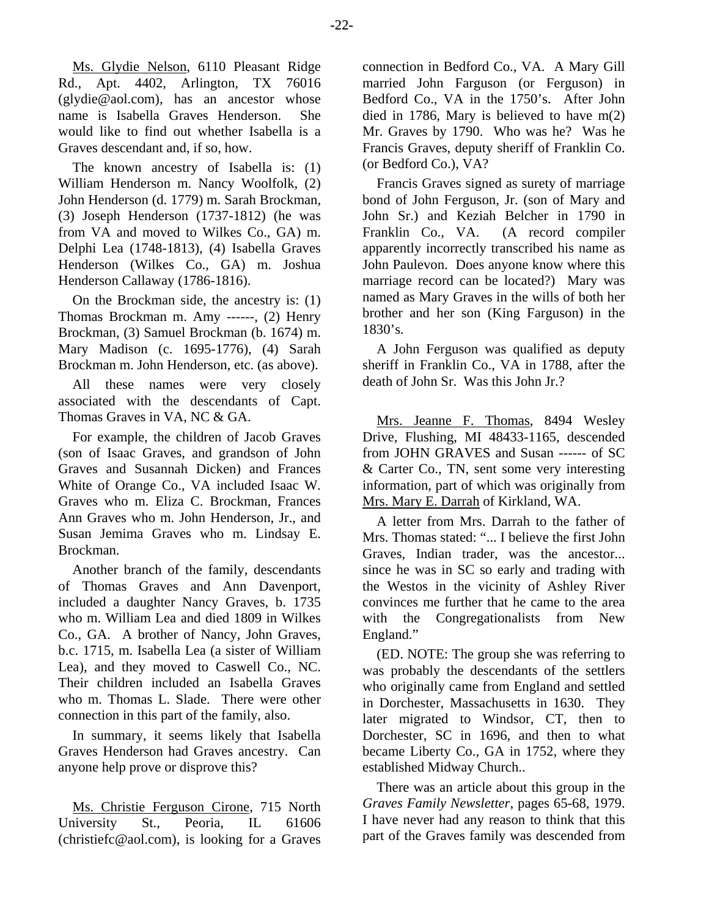Ms. Glydie Nelson, 6110 Pleasant Ridge Rd., Apt. 4402, Arlington, TX 76016 (glydie@aol.com), has an ancestor whose name is Isabella Graves Henderson. She would like to find out whether Isabella is a Graves descendant and, if so, how.

The known ancestry of Isabella is: (1) William Henderson m. Nancy Woolfolk, (2) John Henderson (d. 1779) m. Sarah Brockman, (3) Joseph Henderson (1737-1812) (he was from VA and moved to Wilkes Co., GA) m. Delphi Lea (1748-1813), (4) Isabella Graves Henderson (Wilkes Co., GA) m. Joshua Henderson Callaway (1786-1816).

On the Brockman side, the ancestry is: (1) Thomas Brockman m. Amy ------, (2) Henry Brockman, (3) Samuel Brockman (b. 1674) m. Mary Madison (c. 1695-1776), (4) Sarah Brockman m. John Henderson, etc. (as above).

All these names were very closely associated with the descendants of Capt. Thomas Graves in VA, NC & GA.

For example, the children of Jacob Graves (son of Isaac Graves, and grandson of John Graves and Susannah Dicken) and Frances White of Orange Co., VA included Isaac W. Graves who m. Eliza C. Brockman, Frances Ann Graves who m. John Henderson, Jr., and Susan Jemima Graves who m. Lindsay E. Brockman.

Another branch of the family, descendants of Thomas Graves and Ann Davenport, included a daughter Nancy Graves, b. 1735 who m. William Lea and died 1809 in Wilkes Co., GA. A brother of Nancy, John Graves, b.c. 1715, m. Isabella Lea (a sister of William Lea), and they moved to Caswell Co., NC. Their children included an Isabella Graves who m. Thomas L. Slade. There were other connection in this part of the family, also.

In summary, it seems likely that Isabella Graves Henderson had Graves ancestry. Can anyone help prove or disprove this?

Ms. Christie Ferguson Cirone, 715 North University St., Peoria, IL 61606 (christiefc@aol.com), is looking for a Graves connection in Bedford Co., VA. A Mary Gill married John Farguson (or Ferguson) in Bedford Co., VA in the 1750's. After John died in 1786, Mary is believed to have m(2) Mr. Graves by 1790. Who was he? Was he Francis Graves, deputy sheriff of Franklin Co. (or Bedford Co.), VA?

Francis Graves signed as surety of marriage bond of John Ferguson, Jr. (son of Mary and John Sr.) and Keziah Belcher in 1790 in Franklin Co., VA. (A record compiler apparently incorrectly transcribed his name as John Paulevon. Does anyone know where this marriage record can be located?) Mary was named as Mary Graves in the wills of both her brother and her son (King Farguson) in the 1830's.

A John Ferguson was qualified as deputy sheriff in Franklin Co., VA in 1788, after the death of John Sr. Was this John Jr.?

Mrs. Jeanne F. Thomas, 8494 Wesley Drive, Flushing, MI 48433-1165, descended from JOHN GRAVES and Susan ------ of SC & Carter Co., TN, sent some very interesting information, part of which was originally from Mrs. Mary E. Darrah of Kirkland, WA.

A letter from Mrs. Darrah to the father of Mrs. Thomas stated: "... I believe the first John Graves, Indian trader, was the ancestor... since he was in SC so early and trading with the Westos in the vicinity of Ashley River convinces me further that he came to the area with the Congregationalists from New England."

(ED. NOTE: The group she was referring to was probably the descendants of the settlers who originally came from England and settled in Dorchester, Massachusetts in 1630. They later migrated to Windsor, CT, then to Dorchester, SC in 1696, and then to what became Liberty Co., GA in 1752, where they established Midway Church..

There was an article about this group in the *Graves Family Newsletter*, pages 65-68, 1979. I have never had any reason to think that this part of the Graves family was descended from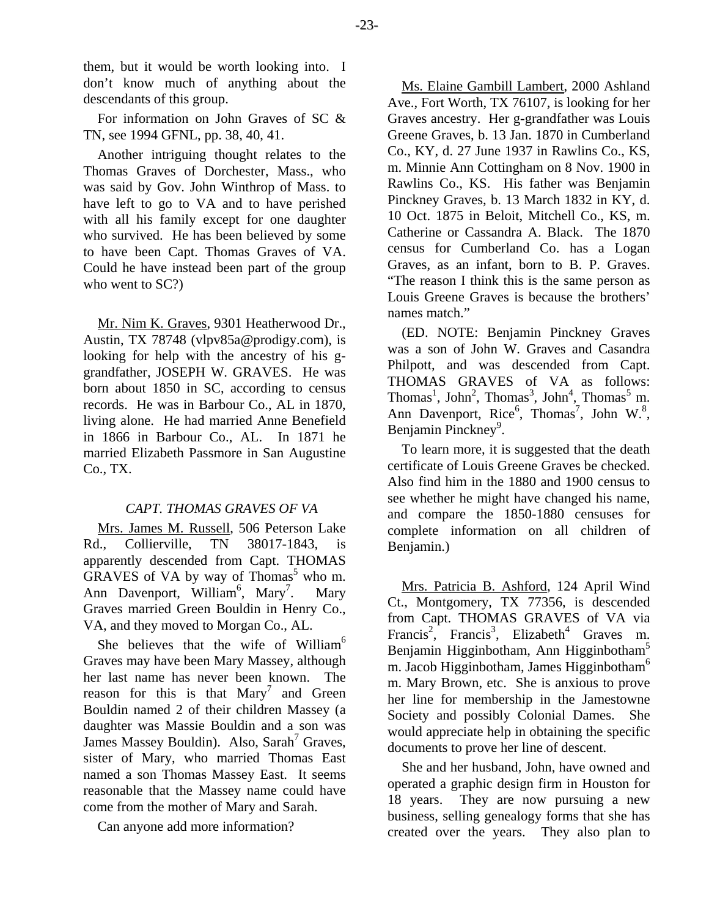them, but it would be worth looking into. I don't know much of anything about the descendants of this group.

For information on John Graves of SC & TN, see 1994 GFNL, pp. 38, 40, 41.

Another intriguing thought relates to the Thomas Graves of Dorchester, Mass., who was said by Gov. John Winthrop of Mass. to have left to go to VA and to have perished with all his family except for one daughter who survived. He has been believed by some to have been Capt. Thomas Graves of VA. Could he have instead been part of the group who went to  $SC$ ?

Mr. Nim K. Graves, 9301 Heatherwood Dr., Austin, TX 78748 (vlpv85a@prodigy.com), is looking for help with the ancestry of his ggrandfather, JOSEPH W. GRAVES. He was born about 1850 in SC, according to census records. He was in Barbour Co., AL in 1870, living alone. He had married Anne Benefield in 1866 in Barbour Co., AL. In 1871 he married Elizabeth Passmore in San Augustine Co., TX.

# *CAPT. THOMAS GRAVES OF VA*

Mrs. James M. Russell, 506 Peterson Lake Rd., Collierville, TN 38017-1843, is apparently descended from Capt. THOMAS  $GRAVES$  of VA by way of Thomas<sup>5</sup> who m. Ann Davenport, William<sup>6</sup>, Mary<sup>7</sup> . Mary Graves married Green Bouldin in Henry Co., VA, and they moved to Morgan Co., AL.

She believes that the wife of William<sup>6</sup> Graves may have been Mary Massey, although her last name has never been known. The reason for this is that  $Mary<sup>7</sup>$  and Green Bouldin named 2 of their children Massey (a daughter was Massie Bouldin and a son was James Massey Bouldin). Also, Sarah<sup>7</sup> Graves, sister of Mary, who married Thomas East named a son Thomas Massey East. It seems reasonable that the Massey name could have come from the mother of Mary and Sarah.

Can anyone add more information?

Ms. Elaine Gambill Lambert, 2000 Ashland Ave., Fort Worth, TX 76107, is looking for her Graves ancestry. Her g-grandfather was Louis Greene Graves, b. 13 Jan. 1870 in Cumberland Co., KY, d. 27 June 1937 in Rawlins Co., KS, m. Minnie Ann Cottingham on 8 Nov. 1900 in Rawlins Co., KS. His father was Benjamin Pinckney Graves, b. 13 March 1832 in KY, d. 10 Oct. 1875 in Beloit, Mitchell Co., KS, m. Catherine or Cassandra A. Black. The 1870 census for Cumberland Co. has a Logan Graves, as an infant, born to B. P. Graves. "The reason I think this is the same person as Louis Greene Graves is because the brothers' names match."

(ED. NOTE: Benjamin Pinckney Graves was a son of John W. Graves and Casandra Philpott, and was descended from Capt. THOMAS GRAVES of VA as follows: Thomas<sup>1</sup>, John<sup>2</sup>, Thomas<sup>3</sup>, John<sup>4</sup>, Thomas<sup>5</sup> m. Ann Davenport, Rice<sup>6</sup>, Thomas<sup>7</sup>, John W.<sup>8</sup>, Benjamin Pinckney<sup>9</sup>.

To learn more, it is suggested that the death certificate of Louis Greene Graves be checked. Also find him in the 1880 and 1900 census to see whether he might have changed his name, and compare the 1850-1880 censuses for complete information on all children of Benjamin.)

Mrs. Patricia B. Ashford, 124 April Wind Ct., Montgomery, TX 77356, is descended from Capt. THOMAS GRAVES of VA via Francis<sup>2</sup>, Francis<sup>3</sup>, Elizabeth<sup>4</sup> Graves m. Benjamin Higginbotham, Ann Higginbotham5 m. Jacob Higginbotham, James Higginbotham<sup>6</sup> m. Mary Brown, etc. She is anxious to prove her line for membership in the Jamestowne Society and possibly Colonial Dames. She would appreciate help in obtaining the specific documents to prove her line of descent.

She and her husband, John, have owned and operated a graphic design firm in Houston for 18 years. They are now pursuing a new business, selling genealogy forms that she has created over the years. They also plan to